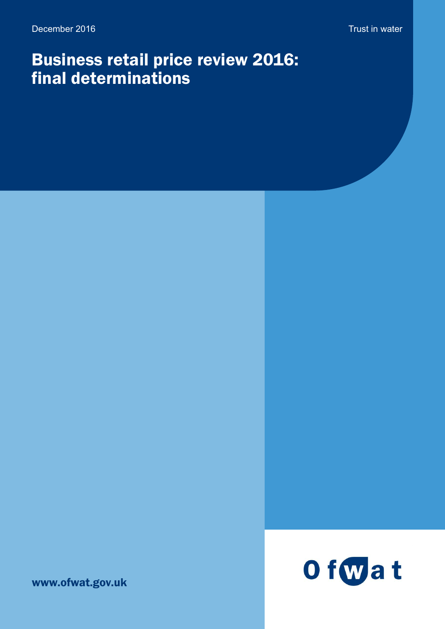# Business retail price review 2016: final determinations

O fwat

www.ofwat.gov.uk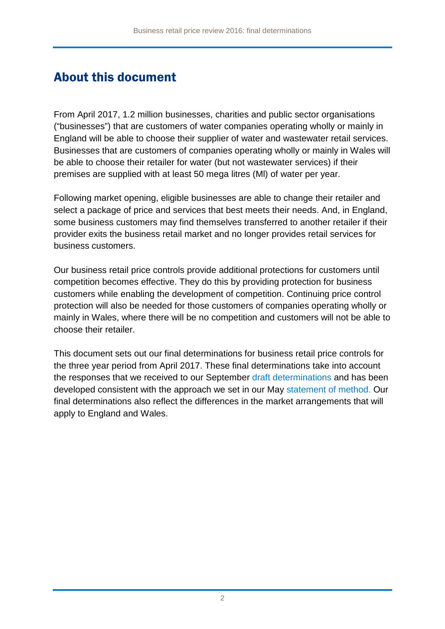## About this document

From April 2017, 1.2 million businesses, charities and public sector organisations ("businesses") that are customers of water companies operating wholly or mainly in England will be able to choose their supplier of water and wastewater retail services. Businesses that are customers of companies operating wholly or mainly in Wales will be able to choose their retailer for water (but not wastewater services) if their premises are supplied with at least 50 mega litres (Ml) of water per year.

Following market opening, eligible businesses are able to change their retailer and select a package of price and services that best meets their needs. And, in England, some business customers may find themselves transferred to another retailer if their provider exits the business retail market and no longer provides retail services for business customers.

Our business retail price controls provide additional protections for customers until competition becomes effective. They do this by providing protection for business customers while enabling the development of competition. Continuing price control protection will also be needed for those customers of companies operating wholly or mainly in Wales, where there will be no competition and customers will not be able to choose their retailer.

This document sets out our final determinations for business retail price controls for the three year period from April 2017. These final determinations take into account the responses that we received to our September [draft determinations](http://www.ofwat.gov.uk/wp-content/uploads/2016/09/pap_con21060914pr15dd.pdf) and has been developed consistent with the approach we set in our May [statement of method.](http://www.ofwat.gov.uk/wp-content/uploads/2016/03/gud_pro20160518pr16methodology.pdf) Our final determinations also reflect the differences in the market arrangements that will apply to England and Wales.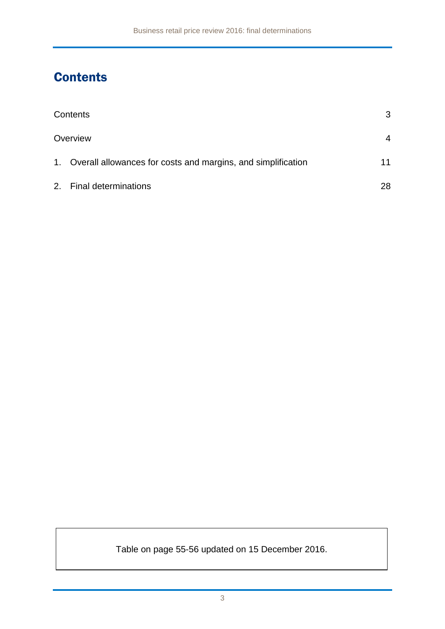## **Contents**

| Contents                                                        | 3  |
|-----------------------------------------------------------------|----|
| Overview                                                        | 4  |
| 1. Overall allowances for costs and margins, and simplification | 11 |
| 2. Final determinations                                         | 28 |

Table on page 55-56 updated on 15 December 2016.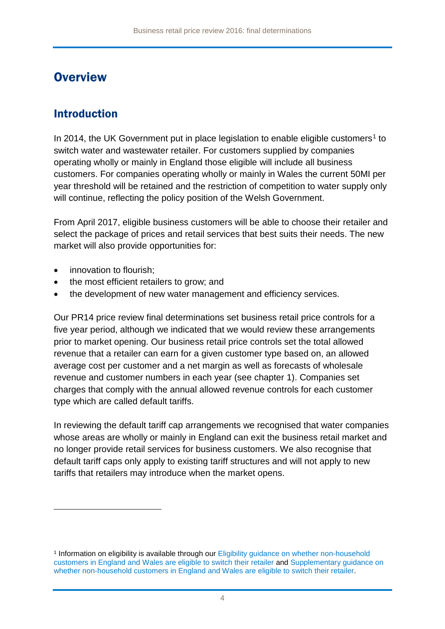## **Overview**

### Introduction

In 20[1](#page-3-0)4, the UK Government put in place legislation to enable eligible customers<sup>1</sup> to switch water and wastewater retailer. For customers supplied by companies operating wholly or mainly in England those eligible will include all business customers. For companies operating wholly or mainly in Wales the current 50MI per year threshold will be retained and the restriction of competition to water supply only will continue, reflecting the policy position of the Welsh Government.

From April 2017, eligible business customers will be able to choose their retailer and select the package of prices and retail services that best suits their needs. The new market will also provide opportunities for:

innovation to flourish;

<u>.</u>

- the most efficient retailers to grow; and
- the development of new water management and efficiency services.

Our PR14 price review final determinations set business retail price controls for a five year period, although we indicated that we would review these arrangements prior to market opening. Our business retail price controls set the total allowed revenue that a retailer can earn for a given customer type based on, an allowed average cost per customer and a net margin as well as forecasts of wholesale revenue and customer numbers in each year (see chapter 1). Companies set charges that comply with the annual allowed revenue controls for each customer type which are called default tariffs.

In reviewing the default tariff cap arrangements we recognised that water companies whose areas are wholly or mainly in England can exit the business retail market and no longer provide retail services for business customers. We also recognise that default tariff caps only apply to existing tariff structures and will not apply to new tariffs that retailers may introduce when the market opens.

<span id="page-3-0"></span><sup>1</sup> Information on eligibility is available through our [Eligibility guidance on whether non-household](http://www.ofwat.gov.uk/wp-content/uploads/2016/07/pap_gud201607updatedretaileligibility.pdf)  [customers in England and Wales are eligible to switch their retailer](http://www.ofwat.gov.uk/wp-content/uploads/2016/07/pap_gud201607updatedretaileligibility.pdf) and [Supplementary](http://www.ofwat.gov.uk/wp-content/uploads/2016/07/pap_gud201607suppretaileligibility.pdf) guidance on [whether non-household customers in England and Wales are eligible to switch their retailer.](http://www.ofwat.gov.uk/wp-content/uploads/2016/07/pap_gud201607suppretaileligibility.pdf)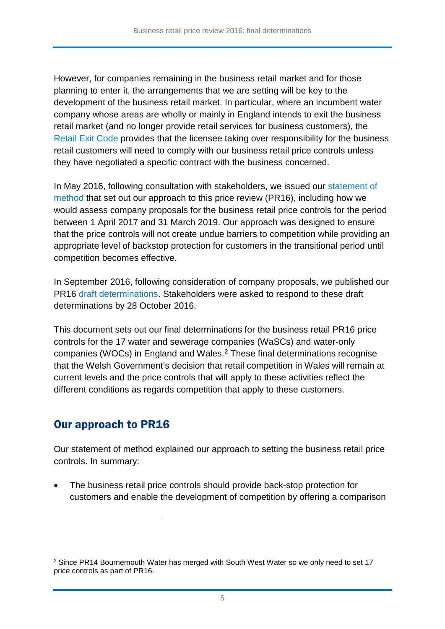However, for companies remaining in the business retail market and for those planning to enter it, the arrangements that we are setting will be key to the development of the business retail market. In particular, where an incumbent water company whose areas are wholly or mainly in England intends to exit the business retail market (and no longer provide retail services for business customers), the [Retail Exit Code](http://www.ofwat.gov.uk/wp-content/uploads/2016/02/gud_pro20160406draftrec.pdf) provides that the licensee taking over responsibility for the business retail customers will need to comply with our business retail price controls unless they have negotiated a specific contract with the business concerned.

In May 2016, following consultation with stakeholders, we issued our [statement of](http://www.ofwat.gov.uk/wp-content/uploads/2016/03/gud_pro20160518pr16methodology.pdf)  [method](http://www.ofwat.gov.uk/wp-content/uploads/2016/03/gud_pro20160518pr16methodology.pdf) that set out our approach to this price review (PR16), including how we would assess company proposals for the business retail price controls for the period between 1 April 2017 and 31 March 2019. Our approach was designed to ensure that the price controls will not create undue barriers to competition while providing an appropriate level of backstop protection for customers in the transitional period until competition becomes effective.

In September 2016, following consideration of company proposals, we published our PR16 [draft determinations.](http://www.ofwat.gov.uk/wp-content/uploads/2016/09/pap_con21060914pr15dd.pdf) Stakeholders were asked to respond to these [draft](http://www.ofwat.gov.uk/wp-content/uploads/2016/09/pap_con21060914pr15dd.pdf)  [determinations](http://www.ofwat.gov.uk/wp-content/uploads/2016/09/pap_con21060914pr15dd.pdf) by 28 October 2016.

This document sets out our final determinations for the business retail PR16 price controls for the 17 water and sewerage companies (WaSCs) and water-only companies (WOCs) in England and Wales. [2](#page-4-0) These final determinations recognise that the Welsh Government's decision that retail competition in Wales will remain at current levels and the price controls that will apply to these activities reflect the different conditions as regards competition that apply to these customers.

### Our approach to PR16

<u>.</u>

Our statement of method explained our approach to setting the business retail price controls. In summary:

• The business retail price controls should provide back-stop protection for customers and enable the development of competition by offering a comparison

<span id="page-4-0"></span><sup>&</sup>lt;sup>2</sup> Since PR14 Bournemouth Water has merged with South West Water so we only need to set 17 price controls as part of PR16.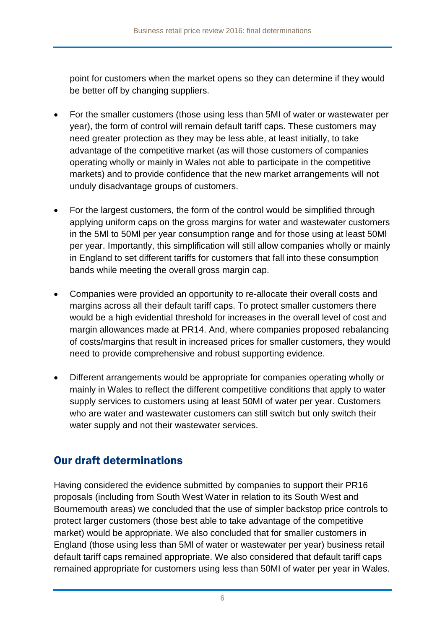point for customers when the market opens so they can determine if they would be better off by changing suppliers.

- For the smaller customers (those using less than 5MI of water or wastewater per year), the form of control will remain default tariff caps. These customers may need greater protection as they may be less able, at least initially, to take advantage of the competitive market (as will those customers of companies operating wholly or mainly in Wales not able to participate in the competitive markets) and to provide confidence that the new market arrangements will not unduly disadvantage groups of customers.
- For the largest customers, the form of the control would be simplified through applying uniform caps on the gross margins for water and wastewater customers in the 5Ml to 50Ml per year consumption range and for those using at least 50Ml per year. Importantly, this simplification will still allow companies wholly or mainly in England to set different tariffs for customers that fall into these consumption bands while meeting the overall gross margin cap.
- Companies were provided an opportunity to re-allocate their overall costs and margins across all their default tariff caps. To protect smaller customers there would be a high evidential threshold for increases in the overall level of cost and margin allowances made at PR14. And, where companies proposed rebalancing of costs/margins that result in increased prices for smaller customers, they would need to provide comprehensive and robust supporting evidence.
- Different arrangements would be appropriate for companies operating wholly or mainly in Wales to reflect the different competitive conditions that apply to water supply services to customers using at least 50MI of water per year. Customers who are water and wastewater customers can still switch but only switch their water supply and not their wastewater services.

### Our draft determinations

Having considered the evidence submitted by companies to support their PR16 proposals (including from South West Water in relation to its South West and Bournemouth areas) we concluded that the use of simpler backstop price controls to protect larger customers (those best able to take advantage of the competitive market) would be appropriate. We also concluded that for smaller customers in England (those using less than 5Ml of water or wastewater per year) business retail default tariff caps remained appropriate. We also considered that default tariff caps remained appropriate for customers using less than 50MI of water per year in Wales.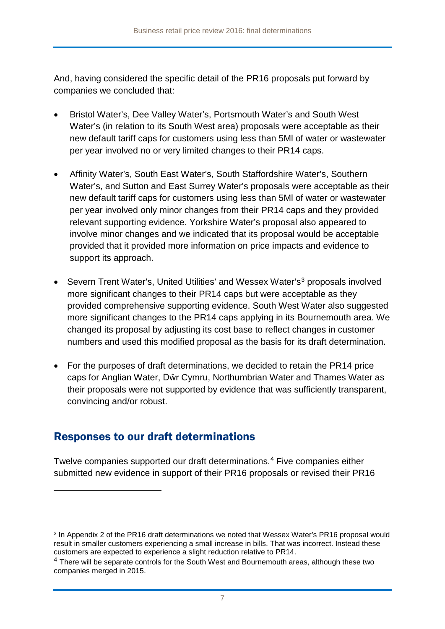And, having considered the specific detail of the PR16 proposals put forward by companies we concluded that:

- Bristol Water's, Dee Valley Water's, Portsmouth Water's and South West Water's (in relation to its South West area) proposals were acceptable as their new default tariff caps for customers using less than 5Ml of water or wastewater per year involved no or very limited changes to their PR14 caps.
- Affinity Water's, South East Water's, South Staffordshire Water's, Southern Water's, and Sutton and East Surrey Water's proposals were acceptable as their new default tariff caps for customers using less than 5Ml of water or wastewater per year involved only minor changes from their PR14 caps and they provided relevant supporting evidence. Yorkshire Water's proposal also appeared to involve minor changes and we indicated that its proposal would be acceptable provided that it provided more information on price impacts and evidence to support its approach.
- Severn Trent Water's, United Utilities' and Wessex Water's<sup>[3](#page-6-0)</sup> proposals involved more significant changes to their PR14 caps but were acceptable as they provided comprehensive supporting evidence. South West Water also suggested more significant changes to the PR14 caps applying in its Bournemouth area. We changed its proposal by adjusting its cost base to reflect changes in customer numbers and used this modified proposal as the basis for its draft determination.
- For the purposes of draft determinations, we decided to retain the PR14 price caps for Anglian Water, Dŵr Cymru, Northumbrian Water and Thames Water as their proposals were not supported by evidence that was sufficiently transparent, convincing and/or robust.

### Responses to our draft determinations

<u>.</u>

Twelve companies supported our [draft determinations.](http://www.ofwat.gov.uk/wp-content/uploads/2016/09/pap_con21060914pr15dd.pdf) [4](#page-6-1) Five companies either submitted new evidence in support of their PR16 proposals or revised their PR16

<span id="page-6-0"></span><sup>3</sup> In Appendix 2 of the PR16 draft determinations we noted that Wessex Water's PR16 proposal would result in smaller customers experiencing a small increase in bills. That was incorrect. Instead these customers are expected to experience a slight reduction relative to PR14.

<span id="page-6-1"></span> $4$  There will be separate controls for the South West and Bournemouth areas, although these two companies merged in 2015.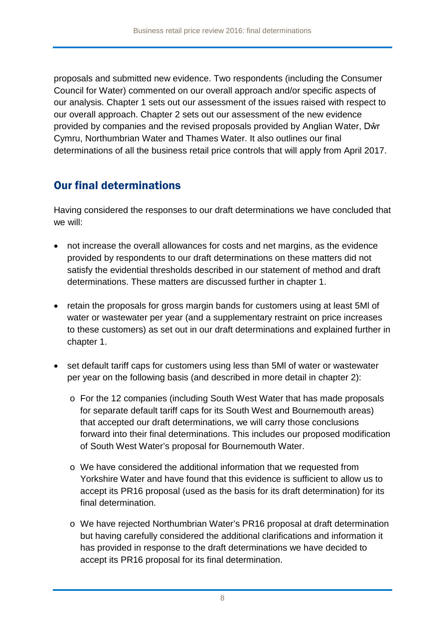proposals and submitted new evidence. Two respondents (including the Consumer Council for Water) commented on our overall approach and/or specific aspects of our analysis. Chapter 1 sets out our assessment of the issues raised with respect to our overall approach. Chapter 2 sets out our assessment of the new evidence provided by companies and the revised proposals provided by Anglian Water, Dŵr Cymru, Northumbrian Water and Thames Water. It also outlines our final determinations of all the business retail price controls that will apply from April 2017.

### Our final determinations

Having considered the responses to our draft determinations we have concluded that we will:

- not increase the overall allowances for costs and net margins, as the evidence provided by respondents to our draft determinations on these matters did not satisfy the evidential thresholds described in our statement of method and draft determinations. These matters are discussed further in chapter 1.
- retain the proposals for gross margin bands for customers using at least 5Ml of water or wastewater per year (and a supplementary restraint on price increases to these customers) as set out in our draft determinations and explained further in chapter 1.
- set default tariff caps for customers using less than 5Ml of water or wastewater per year on the following basis (and described in more detail in chapter 2):
	- o For the 12 companies (including South West Water that has made proposals for separate default tariff caps for its South West and Bournemouth areas) that accepted our draft determinations, we will carry those conclusions forward into their final determinations. This includes our proposed modification of South West Water's proposal for Bournemouth Water.
	- o We have considered the additional information that we requested from Yorkshire Water and have found that this evidence is sufficient to allow us to accept its PR16 proposal (used as the basis for its draft determination) for its final determination.
	- o We have rejected Northumbrian Water's PR16 proposal at draft determination but having carefully considered the additional clarifications and information it has provided in response to the draft determinations we have decided to accept its PR16 proposal for its final determination.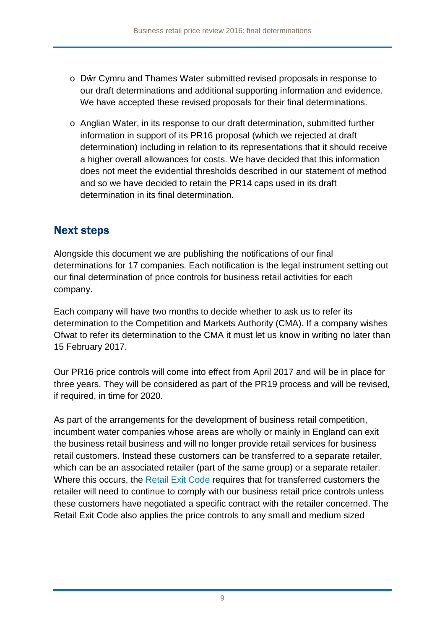- o Dŵr Cymru and Thames Water submitted revised proposals in response to our draft determinations and additional supporting information and evidence. We have accepted these revised proposals for their final determinations.
- $\circ$  Anglian Water, in its response to our draft determination, submitted further information in support of its PR16 proposal (which we rejected at draft determination) including in relation to its representations that it should receive a higher overall allowances for costs. We have decided that this information does not meet the evidential thresholds described in our statement of method and so we have decided to retain the PR14 caps used in its draft determination in its final determination.

### Next steps

Alongside this document we are publishing the notifications of our final determinations for 17 companies. Each notification is the legal instrument setting out our final determination of price controls for business retail activities for each company.

Each company will have two months to decide whether to ask us to refer its determination to the Competition and Markets Authority (CMA). If a company wishes Ofwat to refer its determination to the CMA it must let us know in writing no later than 15 February 2017.

Our PR16 price controls will come into effect from April 2017 and will be in place for three years. They will be considered as part of the PR19 process and will be revised, if required, in time for 2020.

As part of the arrangements for the development of business retail competition, incumbent water companies whose areas are wholly or mainly in England can exit the business retail business and will no longer provide retail services for business retail customers. Instead these customers can be transferred to a separate retailer, which can be an associated retailer (part of the same group) or a separate retailer. Where this occurs, the [Retail Exit Code](http://www.ofwat.gov.uk/wp-content/uploads/2016/02/gud_pro20160406draftrec.pdf) requires that for transferred customers the retailer will need to continue to comply with our business retail price controls unless these customers have negotiated a specific contract with the retailer concerned. The Retail Exit Code also applies the price controls to any small and medium sized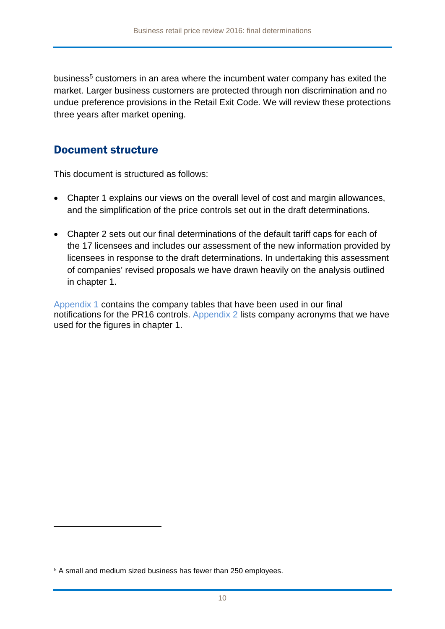business<sup>[5](#page-9-0)</sup> customers in an area where the incumbent water company has exited the market. Larger business customers are protected through non discrimination and no undue preference provisions in the Retail Exit Code. We will review these protections three years after market opening.

### Document structure

This document is structured as follows:

- Chapter 1 explains our views on the overall level of cost and margin allowances, and the simplification of the price controls set out in the draft determinations.
- Chapter 2 sets out our final determinations of the default tariff caps for each of the 17 licensees and includes our assessment of the new information provided by licensees in response to the draft determinations. In undertaking this assessment of companies' revised proposals we have drawn heavily on the analysis outlined in chapter 1.

Appendix 1 contains the company tables that have been used in our final notifications for the PR16 controls. Appendix 2 lists company acronyms that we have used for the figures in chapter 1.

-

<span id="page-9-0"></span><sup>5</sup> A small and medium sized business has fewer than 250 employees.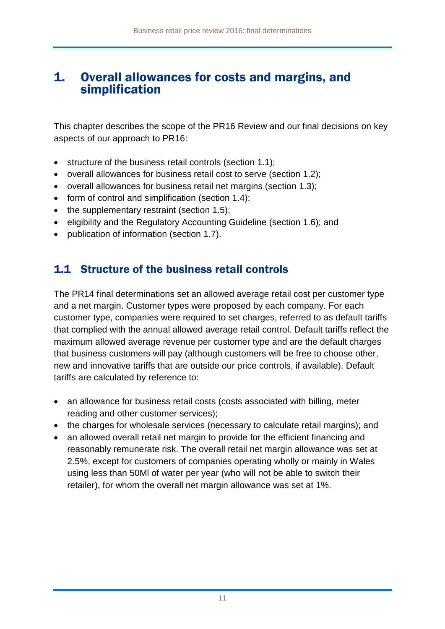### 1. Overall allowances for costs and margins, and simplification

This chapter describes the scope of the PR16 Review and our final decisions on key aspects of our approach to PR16:

- structure of the business retail controls (section 1.1);
- overall allowances for business retail cost to serve (section 1.2);
- overall allowances for business retail net margins (section 1.3);
- form of control and simplification (section 1.4);
- the supplementary restraint (section 1.5);
- eligibility and the Regulatory Accounting Guideline (section 1.6); and
- publication of information (section 1.7).

### 1.1 Structure of the business retail controls

The PR14 final determinations set an allowed average retail cost per customer type and a net margin. Customer types were proposed by each company. For each customer type, companies were required to set charges, referred to as default tariffs that complied with the annual allowed average retail control. Default tariffs reflect the maximum allowed average revenue per customer type and are the default charges that business customers will pay (although customers will be free to choose other, new and innovative tariffs that are outside our price controls, if available). Default tariffs are calculated by reference to:

- an allowance for business retail costs (costs associated with billing, meter reading and other customer services);
- the charges for wholesale services (necessary to calculate retail margins); and
- an allowed overall retail net margin to provide for the efficient financing and reasonably remunerate risk. The overall retail net margin allowance was set at 2.5%, except for customers of companies operating wholly or mainly in Wales using less than 50Ml of water per year (who will not be able to switch their retailer), for whom the overall net margin allowance was set at 1%.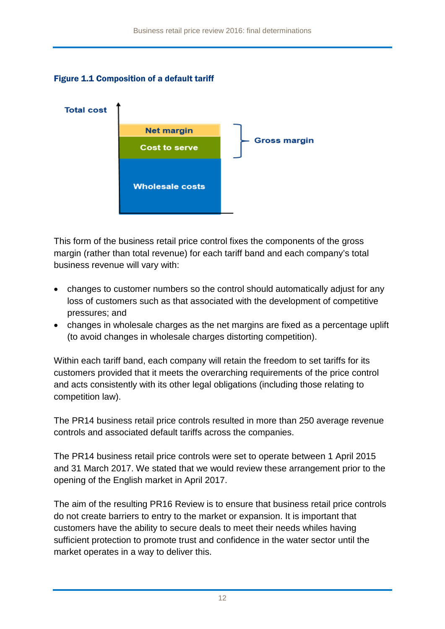### Figure 1.1 Composition of a default tariff



This form of the business retail price control fixes the components of the gross margin (rather than total revenue) for each tariff band and each company's total business revenue will vary with:

- changes to customer numbers so the control should automatically adjust for any loss of customers such as that associated with the development of competitive pressures; and
- changes in wholesale charges as the net margins are fixed as a percentage uplift (to avoid changes in wholesale charges distorting competition).

Within each tariff band, each company will retain the freedom to set tariffs for its customers provided that it meets the overarching requirements of the price control and acts consistently with its other legal obligations (including those relating to competition law).

The PR14 business retail price controls resulted in more than 250 average revenue controls and associated default tariffs across the companies.

The PR14 business retail price controls were set to operate between 1 April 2015 and 31 March 2017. We stated that we would review these arrangement prior to the opening of the English market in April 2017.

The aim of the resulting PR16 Review is to ensure that business retail price controls do not create barriers to entry to the market or expansion. It is important that customers have the ability to secure deals to meet their needs whiles having sufficient protection to promote trust and confidence in the water sector until the market operates in a way to deliver this.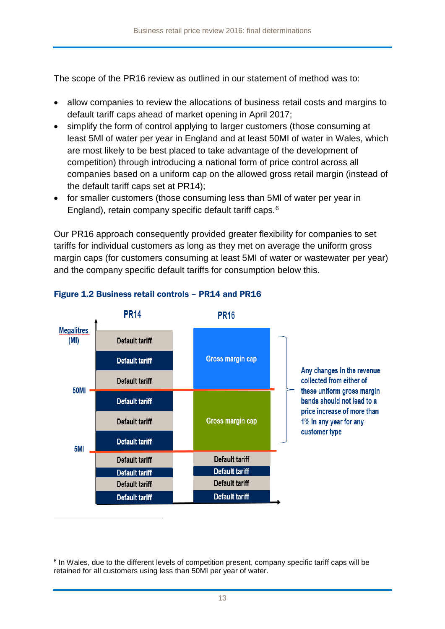The scope of the PR16 review as outlined in our statement of method was to:

- allow companies to review the allocations of business retail costs and margins to default tariff caps ahead of market opening in April 2017;
- simplify the form of control applying to larger customers (those consuming at least 5Ml of water per year in England and at least 50MI of water in Wales, which are most likely to be best placed to take advantage of the development of competition) through introducing a national form of price control across all companies based on a uniform cap on the allowed gross retail margin (instead of the default tariff caps set at PR14);
- for smaller customers (those consuming less than 5Ml of water per year in England), retain company specific default tariff caps.[6](#page-12-0)

Our PR16 approach consequently provided greater flexibility for companies to set tariffs for individual customers as long as they met on average the uniform gross margin caps (for customers consuming at least 5MI of water or wastewater per year) and the company specific default tariffs for consumption below this.



### Figure 1.2 Business retail controls – PR14 and PR16

<span id="page-12-0"></span><sup>6</sup> In Wales, due to the different levels of competition present, company specific tariff caps will be retained for all customers using less than 50MI per year of water.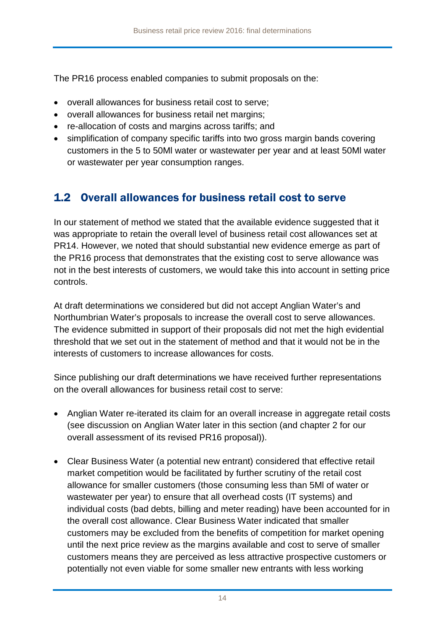The PR16 process enabled companies to submit proposals on the:

- overall allowances for business retail cost to serve;
- overall allowances for business retail net margins;
- re-allocation of costs and margins across tariffs; and
- simplification of company specific tariffs into two gross margin bands covering customers in the 5 to 50Ml water or wastewater per year and at least 50Ml water or wastewater per year consumption ranges.

### 1.2 Overall allowances for business retail cost to serve

In our statement of method we stated that the available evidence suggested that it was appropriate to retain the overall level of business retail cost allowances set at PR14. However, we noted that should substantial new evidence emerge as part of the PR16 process that demonstrates that the existing cost to serve allowance was not in the best interests of customers, we would take this into account in setting price controls.

At draft determinations we considered but did not accept Anglian Water's and Northumbrian Water's proposals to increase the overall cost to serve allowances. The evidence submitted in support of their proposals did not met the high evidential threshold that we set out in the statement of method and that it would not be in the interests of customers to increase allowances for costs.

Since publishing our draft determinations we have received further representations on the overall allowances for business retail cost to serve:

- Anglian Water re-iterated its claim for an overall increase in aggregate retail costs (see discussion on Anglian Water later in this section (and chapter 2 for our overall assessment of its revised PR16 proposal)).
- Clear Business Water (a potential new entrant) considered that effective retail market competition would be facilitated by further scrutiny of the retail cost allowance for smaller customers (those consuming less than 5Ml of water or wastewater per year) to ensure that all overhead costs (IT systems) and individual costs (bad debts, billing and meter reading) have been accounted for in the overall cost allowance. Clear Business Water indicated that smaller customers may be excluded from the benefits of competition for market opening until the next price review as the margins available and cost to serve of smaller customers means they are perceived as less attractive prospective customers or potentially not even viable for some smaller new entrants with less working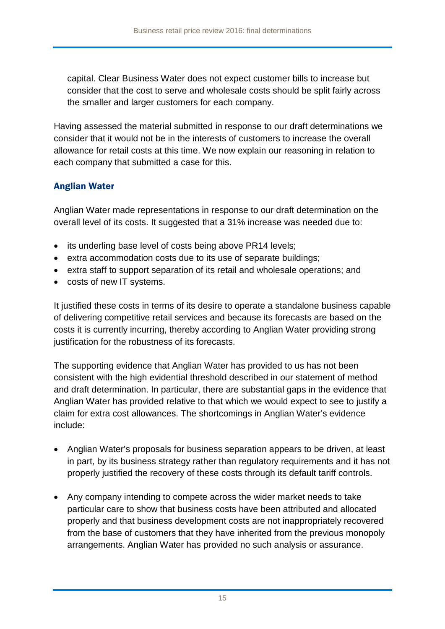capital. Clear Business Water does not expect customer bills to increase but consider that the cost to serve and wholesale costs should be split fairly across the smaller and larger customers for each company.

Having assessed the material submitted in response to our draft determinations we consider that it would not be in the interests of customers to increase the overall allowance for retail costs at this time. We now explain our reasoning in relation to each company that submitted a case for this.

### Anglian Water

Anglian Water made representations in response to our draft determination on the overall level of its costs. It suggested that a 31% increase was needed due to:

- its underling base level of costs being above PR14 levels;
- extra accommodation costs due to its use of separate buildings;
- extra staff to support separation of its retail and wholesale operations; and
- costs of new IT systems.

It justified these costs in terms of its desire to operate a standalone business capable of delivering competitive retail services and because its forecasts are based on the costs it is currently incurring, thereby according to Anglian Water providing strong justification for the robustness of its forecasts.

The supporting evidence that Anglian Water has provided to us has not been consistent with the high evidential threshold described in our statement of method and draft determination. In particular, there are substantial gaps in the evidence that Anglian Water has provided relative to that which we would expect to see to justify a claim for extra cost allowances. The shortcomings in Anglian Water's evidence include:

- Anglian Water's proposals for business separation appears to be driven, at least in part, by its business strategy rather than regulatory requirements and it has not properly justified the recovery of these costs through its default tariff controls.
- Any company intending to compete across the wider market needs to take particular care to show that business costs have been attributed and allocated properly and that business development costs are not inappropriately recovered from the base of customers that they have inherited from the previous monopoly arrangements. Anglian Water has provided no such analysis or assurance.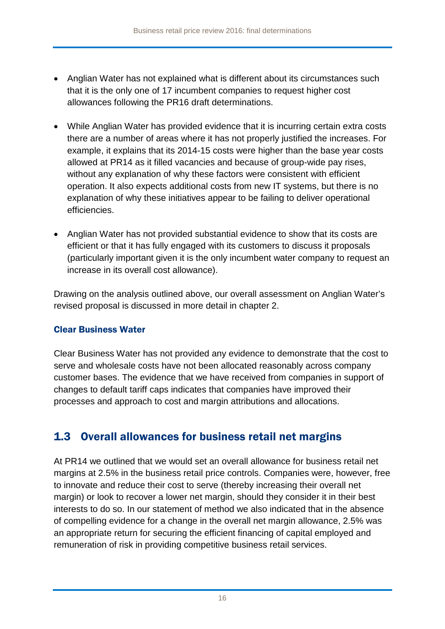- Anglian Water has not explained what is different about its circumstances such that it is the only one of 17 incumbent companies to request higher cost allowances following the PR16 draft determinations.
- While Anglian Water has provided evidence that it is incurring certain extra costs there are a number of areas where it has not properly justified the increases. For example, it explains that its 2014-15 costs were higher than the base year costs allowed at PR14 as it filled vacancies and because of group-wide pay rises, without any explanation of why these factors were consistent with efficient operation. It also expects additional costs from new IT systems, but there is no explanation of why these initiatives appear to be failing to deliver operational efficiencies.
- Anglian Water has not provided substantial evidence to show that its costs are efficient or that it has fully engaged with its customers to discuss it proposals (particularly important given it is the only incumbent water company to request an increase in its overall cost allowance).

Drawing on the analysis outlined above, our overall assessment on Anglian Water's revised proposal is discussed in more detail in chapter 2.

### Clear Business Water

Clear Business Water has not provided any evidence to demonstrate that the cost to serve and wholesale costs have not been allocated reasonably across company customer bases. The evidence that we have received from companies in support of changes to default tariff caps indicates that companies have improved their processes and approach to cost and margin attributions and allocations.

### 1.3 Overall allowances for business retail net margins

At PR14 we outlined that we would set an overall allowance for business retail net margins at 2.5% in the business retail price controls. Companies were, however, free to innovate and reduce their cost to serve (thereby increasing their overall net margin) or look to recover a lower net margin, should they consider it in their best interests to do so. In our [statement of method](http://www.ofwat.gov.uk/wp-content/uploads/2016/03/gud_pro20160518pr16methodology.pdf) we also indicated that in the absence of compelling evidence for a change in the overall net margin allowance, 2.5% was an appropriate return for securing the efficient financing of capital employed and remuneration of risk in providing competitive business retail services.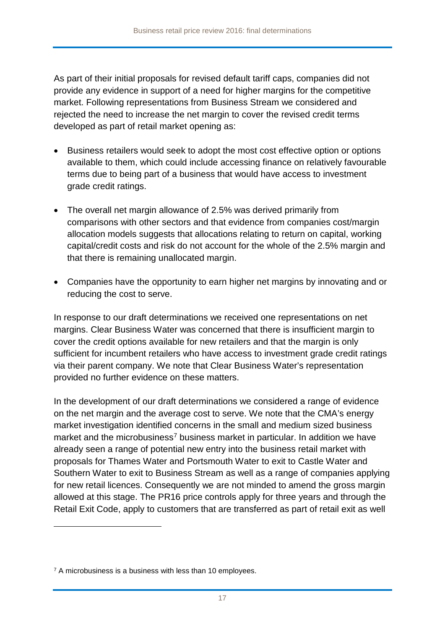As part of their initial proposals for revised default tariff caps, companies did not provide any evidence in support of a need for higher margins for the competitive market. Following representations from Business Stream we considered and rejected the need to increase the net margin to cover the revised credit terms developed as part of retail market opening as:

- Business retailers would seek to adopt the most cost effective option or options available to them, which could include accessing finance on relatively favourable terms due to being part of a business that would have access to investment grade credit ratings.
- The overall net margin allowance of 2.5% was derived primarily from comparisons with other sectors and that evidence from companies cost/margin allocation models suggests that allocations relating to return on capital, working capital/credit costs and risk do not account for the whole of the 2.5% margin and that there is remaining unallocated margin.
- Companies have the opportunity to earn higher net margins by innovating and or reducing the cost to serve.

In response to our draft determinations we received one representations on net margins. Clear Business Water was concerned that there is insufficient margin to cover the credit options available for new retailers and that the margin is only sufficient for incumbent retailers who have access to investment grade credit ratings via their parent company. We note that Clear Business Water's representation provided no further evidence on these matters.

In the development of our draft determinations we considered a range of evidence on the net margin and the average cost to serve. We note that the CMA's energy market investigation identified concerns in the small and medium sized business market and the microbusiness<sup>[7](#page-16-0)</sup> business market in particular. In addition we have already seen a range of potential new entry into the business retail market with proposals for Thames Water and Portsmouth Water to exit to Castle Water and Southern Water to exit to Business Stream as well as a range of companies applying for new retail licences. Consequently we are not minded to amend the gross margin allowed at this stage. The PR16 price controls apply for three years and through the Retail Exit Code, apply to customers that are transferred as part of retail exit as well

-

<span id="page-16-0"></span><sup>&</sup>lt;sup>7</sup> A microbusiness is a business with less than 10 employees.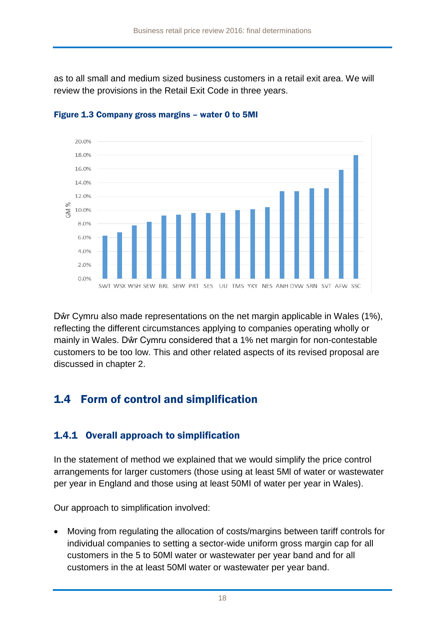as to all small and medium sized business customers in a retail exit area. We will review the provisions in the Retail Exit Code in three years.



Figure 1.3 Company gross margins – water 0 to 5MI

Dŵr Cymru also made representations on the net margin applicable in Wales (1%), reflecting the different circumstances applying to companies operating wholly or mainly in Wales. Dŵr Cymru considered that a 1% net margin for non-contestable customers to be too low. This and other related aspects of its revised proposal are discussed in chapter 2.

## 1.4 Form of control and simplification

### 1.4.1 Overall approach to simplification

In the [statement of method](http://www.ofwat.gov.uk/wp-content/uploads/2016/03/gud_pro20160518pr16methodology.pdf) we explained that we would simplify the price control arrangements for larger customers (those using at least 5Ml of water or wastewater per year in England and those using at least 50MI of water per year in Wales).

Our approach to simplification involved:

• Moving from regulating the allocation of costs/margins between tariff controls for individual companies to setting a sector-wide uniform gross margin cap for all customers in the 5 to 50Ml water or wastewater per year band and for all customers in the at least 50Ml water or wastewater per year band.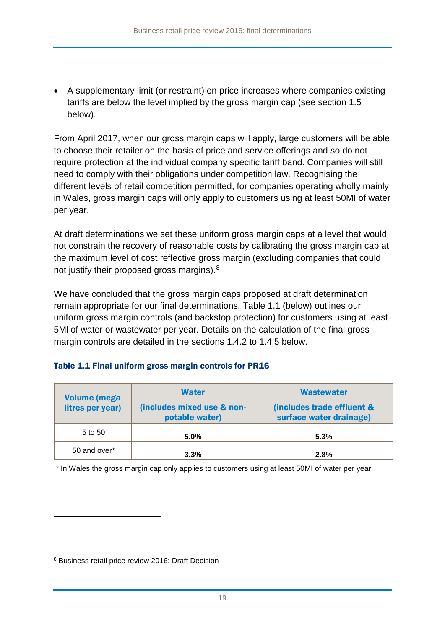• A supplementary limit (or restraint) on price increases where companies existing tariffs are below the level implied by the gross margin cap (see section 1.5 below).

From April 2017, when our gross margin caps will apply, large customers will be able to choose their retailer on the basis of price and service offerings and so do not require protection at the individual company specific tariff band. Companies will still need to comply with their obligations under competition law. Recognising the different levels of retail competition permitted, for companies operating wholly mainly in Wales, gross margin caps will only apply to customers using at least 50MI of water per year.

At draft determinations we set these uniform gross margin caps at a level that would not constrain the recovery of reasonable costs by calibrating the gross margin cap at the maximum level of cost reflective gross margin (excluding companies that could not justify their proposed gross margins).<sup>[8](#page-18-0)</sup>

We have concluded that the gross margin caps proposed at draft determination remain appropriate for our final determinations. Table 1.1 (below) outlines our uniform gross margin controls (and backstop protection) for customers using at least 5Ml of water or wastewater per year. Details on the calculation of the final gross margin controls are detailed in the sections 1.4.2 to 1.4.5 below.

### Table 1.1 Final uniform gross margin controls for PR16

| <b>Volume (mega</b><br>litres per year) | <b>Water</b><br>(includes mixed use & non-<br>potable water) | <b>Wastewater</b><br>(includes trade effluent &<br>surface water drainage) |  |
|-----------------------------------------|--------------------------------------------------------------|----------------------------------------------------------------------------|--|
| 5 to 50                                 | $5.0\%$                                                      | 5.3%                                                                       |  |
| 50 and over*                            | 3.3%                                                         | 2.8%                                                                       |  |

\* In Wales the gross margin cap only applies to customers using at least 50MI of water per year.

-

<span id="page-18-0"></span><sup>8</sup> Business retail price review 2016: Draft Decision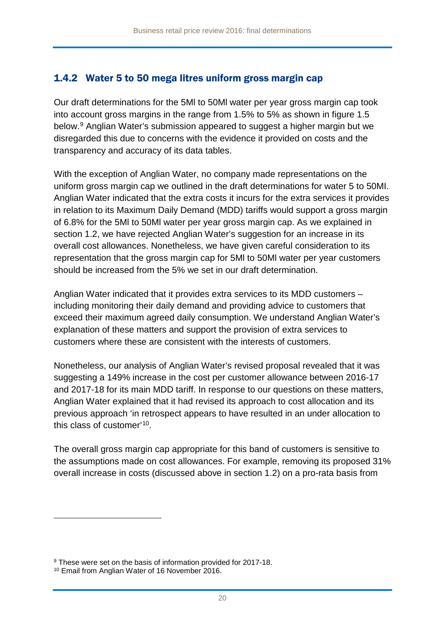### 1.4.2 Water 5 to 50 mega litres uniform gross margin cap

Our draft determinations for the 5Ml to 50Ml water per year gross margin cap took into account gross margins in the range from 1.5% to 5% as shown in figure 1.5 below.[9](#page-19-0) Anglian Water's submission appeared to suggest a higher margin but we disregarded this due to concerns with the evidence it provided on costs and the transparency and accuracy of its data tables.

With the exception of Anglian Water, no company made representations on the uniform gross margin cap we outlined in the draft determinations for water 5 to 50MI. Anglian Water indicated that the extra costs it incurs for the extra services it provides in relation to its Maximum Daily Demand (MDD) tariffs would support a gross margin of 6.8% for the 5Ml to 50Ml water per year gross margin cap. As we explained in section 1.2, we have rejected Anglian Water's suggestion for an increase in its overall cost allowances. Nonetheless, we have given careful consideration to its representation that the gross margin cap for 5Ml to 50Ml water per year customers should be increased from the 5% we set in our draft determination.

Anglian Water indicated that it provides extra services to its MDD customers – including monitoring their daily demand and providing advice to customers that exceed their maximum agreed daily consumption. We understand Anglian Water's explanation of these matters and support the provision of extra services to customers where these are consistent with the interests of customers.

Nonetheless, our analysis of Anglian Water's revised proposal revealed that it was suggesting a 149% increase in the cost per customer allowance between 2016-17 and 2017-18 for its main MDD tariff. In response to our questions on these matters, Anglian Water explained that it had revised its approach to cost allocation and its previous approach 'in retrospect appears to have resulted in an under allocation to this class of customer'[10](#page-19-1).

The overall gross margin cap appropriate for this band of customers is sensitive to the assumptions made on cost allowances. For example, removing its proposed 31% overall increase in costs (discussed above in section 1.2) on a pro-rata basis from

<u>.</u>

<span id="page-19-0"></span><sup>&</sup>lt;sup>9</sup> These were set on the basis of information provided for 2017-18.

<span id="page-19-1"></span><sup>10</sup> Email from Anglian Water of 16 November 2016.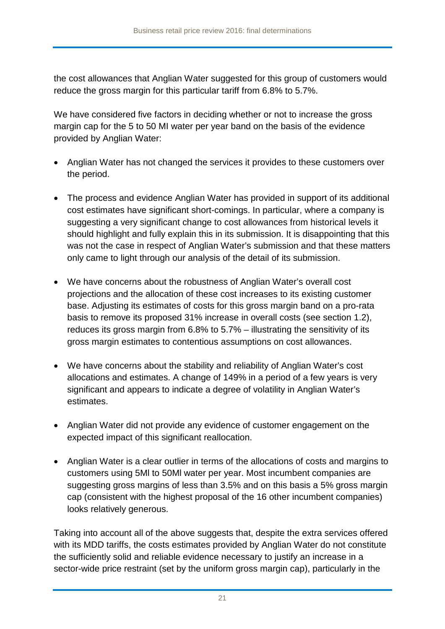the cost allowances that Anglian Water suggested for this group of customers would reduce the gross margin for this particular tariff from 6.8% to 5.7%.

We have considered five factors in deciding whether or not to increase the gross margin cap for the 5 to 50 MI water per year band on the basis of the evidence provided by Anglian Water:

- Anglian Water has not changed the services it provides to these customers over the period.
- The process and evidence Anglian Water has provided in support of its additional cost estimates have significant short-comings. In particular, where a company is suggesting a very significant change to cost allowances from historical levels it should highlight and fully explain this in its submission. It is disappointing that this was not the case in respect of Anglian Water's submission and that these matters only came to light through our analysis of the detail of its submission.
- We have concerns about the robustness of Anglian Water's overall cost projections and the allocation of these cost increases to its existing customer base. Adjusting its estimates of costs for this gross margin band on a pro-rata basis to remove its proposed 31% increase in overall costs (see section 1.2), reduces its gross margin from 6.8% to 5.7% – illustrating the sensitivity of its gross margin estimates to contentious assumptions on cost allowances.
- We have concerns about the stability and reliability of Anglian Water's cost allocations and estimates. A change of 149% in a period of a few years is very significant and appears to indicate a degree of volatility in Anglian Water's estimates.
- Anglian Water did not provide any evidence of customer engagement on the expected impact of this significant reallocation.
- Anglian Water is a clear outlier in terms of the allocations of costs and margins to customers using 5Ml to 50Ml water per year. Most incumbent companies are suggesting gross margins of less than 3.5% and on this basis a 5% gross margin cap (consistent with the highest proposal of the 16 other incumbent companies) looks relatively generous.

Taking into account all of the above suggests that, despite the extra services offered with its MDD tariffs, the costs estimates provided by Anglian Water do not constitute the sufficiently solid and reliable evidence necessary to justify an increase in a sector-wide price restraint (set by the uniform gross margin cap), particularly in the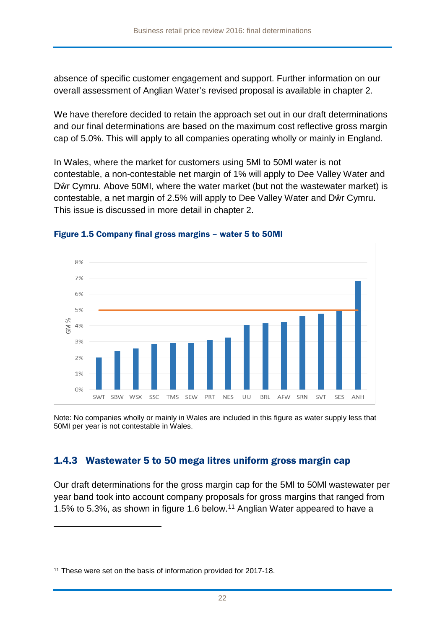absence of specific customer engagement and support. Further information on our overall assessment of Anglian Water's revised proposal is available in chapter 2.

We have therefore decided to retain the approach set out in our draft determinations and our final determinations are based on the maximum cost reflective gross margin cap of 5.0%. This will apply to all companies operating wholly or mainly in England.

In Wales, where the market for customers using 5Ml to 50Ml water is not contestable, a non-contestable net margin of 1% will apply to Dee Valley Water and Dŵr Cymru. Above 50MI, where the water market (but not the wastewater market) is contestable, a net margin of 2.5% will apply to Dee Valley Water and Dŵr Cymru. This issue is discussed in more detail in chapter 2.



#### Figure 1.5 Company final gross margins – water 5 to 50MI

Note: No companies wholly or mainly in Wales are included in this figure as water supply less that 50MI per year is not contestable in Wales.

### 1.4.3 Wastewater 5 to 50 mega litres uniform gross margin cap

Our draft determinations for the gross margin cap for the 5Ml to 50Ml wastewater per year band took into account company proposals for gross margins that ranged from 1.5% to 5.3%, as shown in figure 1.6 below.[11](#page-21-0) Anglian Water appeared to have a

-

<span id="page-21-0"></span><sup>&</sup>lt;sup>11</sup> These were set on the basis of information provided for 2017-18.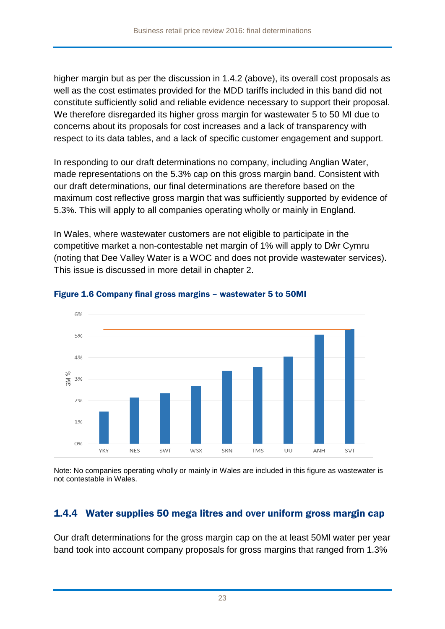higher margin but as per the discussion in 1.4.2 (above), its overall cost proposals as well as the cost estimates provided for the MDD tariffs included in this band did not constitute sufficiently solid and reliable evidence necessary to support their proposal. We therefore disregarded its higher gross margin for wastewater 5 to 50 MI due to concerns about its proposals for cost increases and a lack of transparency with respect to its data tables, and a lack of specific customer engagement and support.

In responding to our draft determinations no company, including Anglian Water, made representations on the 5.3% cap on this gross margin band. Consistent with our draft determinations, our final determinations are therefore based on the maximum cost reflective gross margin that was sufficiently supported by evidence of 5.3%. This will apply to all companies operating wholly or mainly in England.

In Wales, where wastewater customers are not eligible to participate in the competitive market a non-contestable net margin of 1% will apply to Dŵr Cymru (noting that Dee Valley Water is a WOC and does not provide wastewater services). This issue is discussed in more detail in chapter 2.



### Figure 1.6 Company final gross margins – wastewater 5 to 50MI

Note: No companies operating wholly or mainly in Wales are included in this figure as wastewater is not contestable in Wales.

### 1.4.4 Water supplies 50 mega litres and over uniform gross margin cap

Our draft determinations for the gross margin cap on the at least 50Ml water per year band took into account company proposals for gross margins that ranged from 1.3%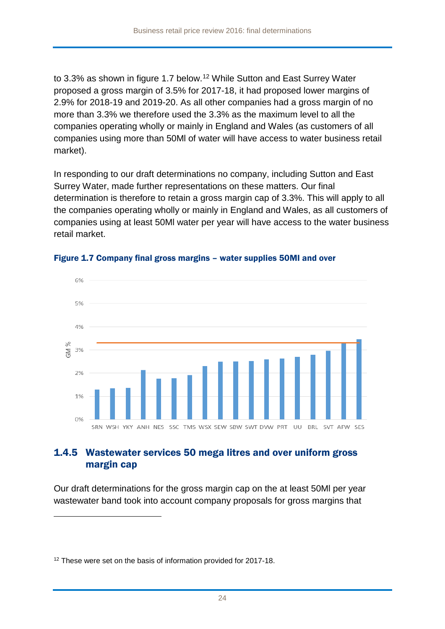to 3.3% as shown in figure 1.7 below.<sup>[12](#page-23-0)</sup> While Sutton and East Surrey Water proposed a gross margin of 3.5% for 2017-18, it had proposed lower margins of 2.9% for 2018-19 and 2019-20. As all other companies had a gross margin of no more than 3.3% we therefore used the 3.3% as the maximum level to all the companies operating wholly or mainly in England and Wales (as customers of all companies using more than 50Ml of water will have access to water business retail market).

In responding to our draft determinations no company, including Sutton and East Surrey Water, made further representations on these matters. Our final determination is therefore to retain a gross margin cap of 3.3%. This will apply to all the companies operating wholly or mainly in England and Wales, as all customers of companies using at least 50Ml water per year will have access to the water business retail market.



#### Figure 1.7 Company final gross margins – water supplies 50MI and over

### 1.4.5 Wastewater services 50 mega litres and over uniform gross margin cap

Our draft determinations for the gross margin cap on the at least 50Ml per year wastewater band took into account company proposals for gross margins that

-

<span id="page-23-0"></span><sup>&</sup>lt;sup>12</sup> These were set on the basis of information provided for 2017-18.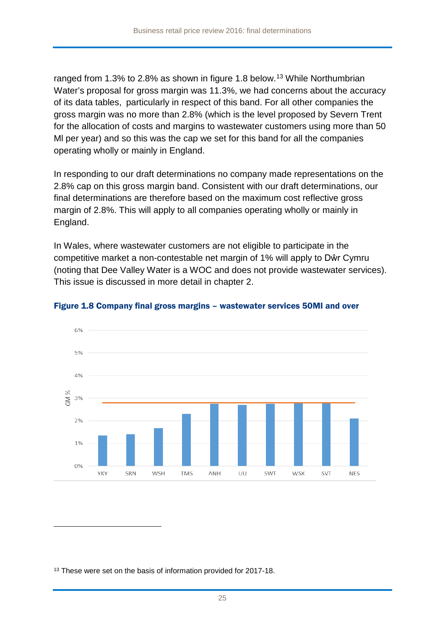ranged from 1.3% to 2.8% as shown in figure 1.8 below.<sup>[13](#page-24-0)</sup> While Northumbrian Water's proposal for gross margin was 11.3%, we had concerns about the accuracy of its data tables, particularly in respect of this band. For all other companies the gross margin was no more than 2.8% (which is the level proposed by Severn Trent for the allocation of costs and margins to wastewater customers using more than 50 Ml per year) and so this was the cap we set for this band for all the companies operating wholly or mainly in England.

In responding to our draft determinations no company made representations on the 2.8% cap on this gross margin band. Consistent with our draft determinations, our final determinations are therefore based on the maximum cost reflective gross margin of 2.8%. This will apply to all companies operating wholly or mainly in England.

In Wales, where wastewater customers are not eligible to participate in the competitive market a non-contestable net margin of 1% will apply to Dŵr Cymru (noting that Dee Valley Water is a WOC and does not provide wastewater services). This issue is discussed in more detail in chapter 2.



#### Figure 1.8 Company final gross margins – wastewater services 50MI and over

<span id="page-24-0"></span><sup>13</sup> These were set on the basis of information provided for 2017-18.

-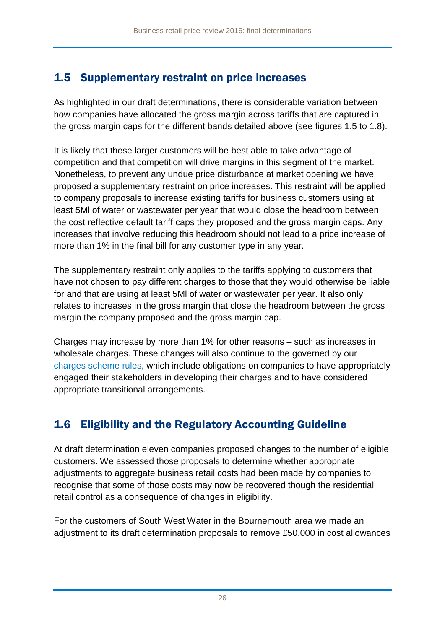## 1.5 Supplementary restraint on price increases

As highlighted in our draft determinations, there is considerable variation between how companies have allocated the gross margin across tariffs that are captured in the gross margin caps for the different bands detailed above (see figures 1.5 to 1.8).

It is likely that these larger customers will be best able to take advantage of competition and that competition will drive margins in this segment of the market. Nonetheless, to prevent any undue price disturbance at market opening we have proposed a supplementary restraint on price increases. This restraint will be applied to company proposals to increase existing tariffs for business customers using at least 5Ml of water or wastewater per year that would close the headroom between the cost reflective default tariff caps they proposed and the gross margin caps. Any increases that involve reducing this headroom should not lead to a price increase of more than 1% in the final bill for any customer type in any year.

The supplementary restraint only applies to the tariffs applying to customers that have not chosen to pay different charges to those that they would otherwise be liable for and that are using at least 5Ml of water or wastewater per year. It also only relates to increases in the gross margin that close the headroom between the gross margin the company proposed and the gross margin cap.

Charges may increase by more than 1% for other reasons – such as increases in wholesale charges. These changes will also continue to the governed by our [charges scheme rules,](http://www.ofwat.gov.uk/wp-content/uploads/2015/09/gud_pro20151117chargingrules.pdf) which include obligations on companies to have appropriately engaged their stakeholders in developing their charges and to have considered appropriate transitional arrangements.

## 1.6 Eligibility and the Regulatory Accounting Guideline

At draft determination eleven companies proposed changes to the number of eligible customers. We assessed those proposals to determine whether appropriate adjustments to aggregate business retail costs had been made by companies to recognise that some of those costs may now be recovered though the residential retail control as a consequence of changes in eligibility.

For the customers of South West Water in the Bournemouth area we made an adjustment to its draft determination proposals to remove £50,000 in cost allowances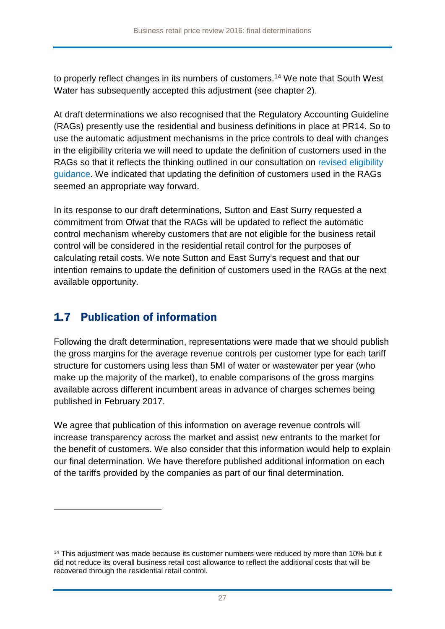to properly reflect changes in its numbers of customers. [14](#page-26-0) We note that South West Water has subsequently accepted this adjustment (see chapter 2).

At draft determinations we also recognised that the Regulatory Accounting Guideline (RAGs) presently use the residential and business definitions in place at PR14. So to use the automatic adjustment mechanisms in the price controls to deal with changes in the eligibility criteria we will need to update the definition of customers used in the RAGs so that it reflects the thinking outlined in our consultation on revised eligibility guidance. We indicated that updating the definition of customers used in the RAGs seemed an appropriate way forward.

In its response to our draft determinations, Sutton and East Surry requested a commitment from Ofwat that the RAGs will be updated to reflect the automatic control mechanism whereby customers that are not eligible for the business retail control will be considered in the residential retail control for the purposes of calculating retail costs. We note Sutton and East Surry's request and that our intention remains to update the definition of customers used in the RAGs at the next available opportunity.

### 1.7 Publication of information

<u>.</u>

Following the draft determination, representations were made that we should publish the gross margins for the average revenue controls per customer type for each tariff structure for customers using less than 5MI of water or wastewater per year (who make up the majority of the market), to enable comparisons of the gross margins available across different incumbent areas in advance of charges schemes being published in February 2017.

We agree that publication of this information on average revenue controls will increase transparency across the market and assist new entrants to the market for the benefit of customers. We also consider that this information would help to explain our final determination. We have therefore published additional information on each of the tariffs provided by the companies as part of our final determination.

<span id="page-26-0"></span> $14$  This adjustment was made because its customer numbers were reduced by more than 10% but it did not reduce its overall business retail cost allowance to reflect the additional costs that will be recovered through the residential retail control.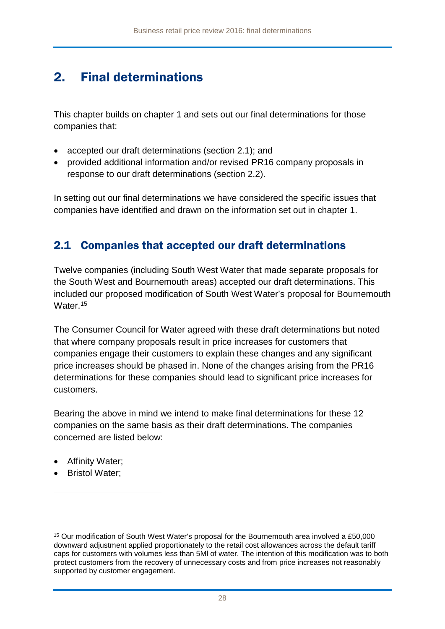## 2. Final determinations

This chapter builds on chapter 1 and sets out our final determinations for those companies that:

- accepted our draft determinations (section 2.1); and
- provided additional information and/or revised PR16 company proposals in response to our draft determinations (section 2.2).

In setting out our final determinations we have considered the specific issues that companies have identified and drawn on the information set out in chapter 1.

### 2.1 Companies that accepted our draft determinations

Twelve companies (including South West Water that made separate proposals for the South West and Bournemouth areas) accepted our draft determinations. This included our proposed modification of South West Water's proposal for Bournemouth Water.<sup>[15](#page-27-0)</sup>

The Consumer Council for Water agreed with these draft determinations but noted that where company proposals result in price increases for customers that companies engage their customers to explain these changes and any significant price increases should be phased in. None of the changes arising from the PR16 determinations for these companies should lead to significant price increases for customers.

Bearing the above in mind we intend to make final determinations for these 12 companies on the same basis as their draft determinations. The companies concerned are listed below:

- Affinity Water;
- Bristol Water;

<u>.</u>

<span id="page-27-0"></span><sup>15</sup> Our modification of South West Water's proposal for the Bournemouth area involved a £50,000 downward adjustment applied proportionately to the retail cost allowances across the default tariff caps for customers with volumes less than 5Ml of water. The intention of this modification was to both protect customers from the recovery of unnecessary costs and from price increases not reasonably supported by customer engagement.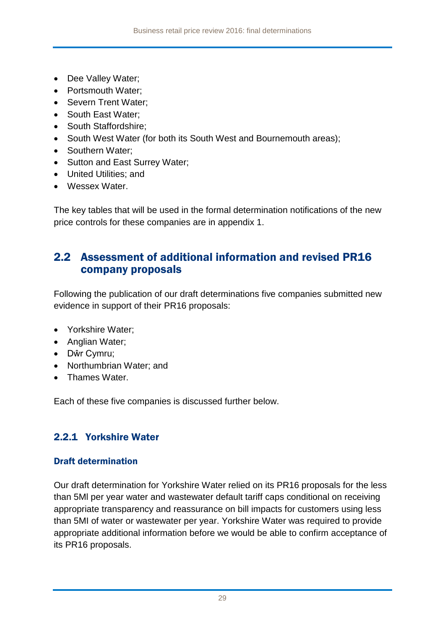- Dee Valley Water;
- Portsmouth Water;
- Severn Trent Water:
- South East Water:
- South Staffordshire:
- South West Water (for both its South West and Bournemouth areas);
- Southern Water;
- Sutton and East Surrey Water:
- United Utilities; and
- Wessex Water.

The key tables that will be used in the formal determination notifications of the new price controls for these companies are in appendix 1.

### 2.2 Assessment of additional information and revised PR16 company proposals

Following the publication of our draft determinations five companies submitted new evidence in support of their PR16 proposals:

- Yorkshire Water:
- Anglian Water;
- Dŵr Cymru;
- Northumbrian Water; and
- Thames Water.

Each of these five companies is discussed further below.

### 2.2.1 Yorkshire Water

### Draft determination

Our draft determination for Yorkshire Water relied on its PR16 proposals for the less than 5Ml per year water and wastewater default tariff caps conditional on receiving appropriate transparency and reassurance on bill impacts for customers using less than 5MI of water or wastewater per year. Yorkshire Water was required to provide appropriate additional information before we would be able to confirm acceptance of its PR16 proposals.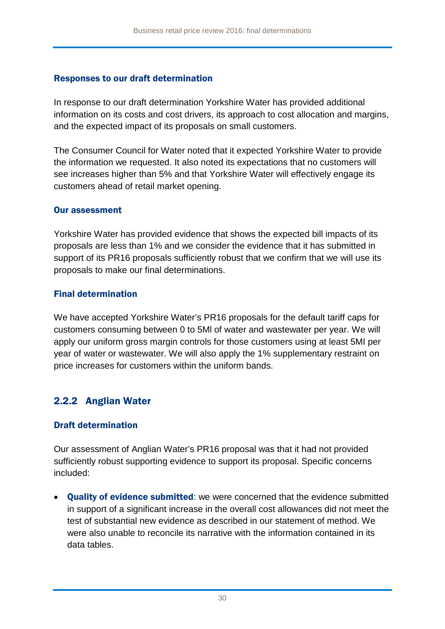### Responses to our draft determination

In response to our draft determination Yorkshire Water has provided additional information on its costs and cost drivers, its approach to cost allocation and margins, and the expected impact of its proposals on small customers.

The Consumer Council for Water noted that it expected Yorkshire Water to provide the information we requested. It also noted its expectations that no customers will see increases higher than 5% and that Yorkshire Water will effectively engage its customers ahead of retail market opening.

#### Our assessment

Yorkshire Water has provided evidence that shows the expected bill impacts of its proposals are less than 1% and we consider the evidence that it has submitted in support of its PR16 proposals sufficiently robust that we confirm that we will use its proposals to make our final determinations.

### Final determination

We have accepted Yorkshire Water's PR16 proposals for the default tariff caps for customers consuming between 0 to 5Ml of water and wastewater per year. We will apply our uniform gross margin controls for those customers using at least 5MI per year of water or wastewater. We will also apply the 1% supplementary restraint on price increases for customers within the uniform bands.

### 2.2.2 Anglian Water

### Draft determination

Our assessment of Anglian Water's PR16 proposal was that it had not provided sufficiently robust supporting evidence to support its proposal. Specific concerns included:

• Quality of evidence submitted: we were concerned that the evidence submitted in support of a significant increase in the overall cost allowances did not meet the test of substantial new evidence as described in our [statement of method.](http://www.ofwat.gov.uk/wp-content/uploads/2016/03/gud_pro20160518pr16methodology.pdf) We were also unable to reconcile its narrative with the information contained in its data tables.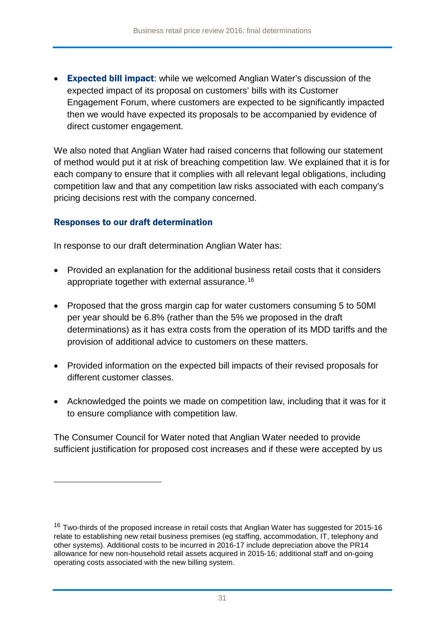• Expected bill impact: while we welcomed Anglian Water's discussion of the expected impact of its proposal on customers' bills with its Customer Engagement Forum, where customers are expected to be significantly impacted then we would have expected its proposals to be accompanied by evidence of direct customer engagement.

We also noted that Anglian Water had raised concerns that following our statement of method would put it at risk of breaching competition law. We explained that it is for each company to ensure that it complies with all relevant legal obligations, including competition law and that any competition law risks associated with each company's pricing decisions rest with the company concerned.

### Responses to our draft determination

-

In response to our draft determination Anglian Water has:

- Provided an explanation for the additional business retail costs that it considers appropriate together with external assurance. [16](#page-30-0)
- Proposed that the gross margin cap for water customers consuming 5 to 50Ml per year should be 6.8% (rather than the 5% we proposed in the draft determinations) as it has extra costs from the operation of its MDD tariffs and the provision of additional advice to customers on these matters.
- Provided information on the expected bill impacts of their revised proposals for different customer classes.
- Acknowledged the points we made on competition law, including that it was for it to ensure compliance with competition law.

The Consumer Council for Water noted that Anglian Water needed to provide sufficient justification for proposed cost increases and if these were accepted by us

<span id="page-30-0"></span><sup>&</sup>lt;sup>16</sup> Two-thirds of the proposed increase in retail costs that Anglian Water has suggested for 2015-16 relate to establishing new retail business premises (eg staffing, accommodation, IT, telephony and other systems). Additional costs to be incurred in 2016-17 include depreciation above the PR14 allowance for new non-household retail assets acquired in 2015-16; additional staff and on-going operating costs associated with the new billing system.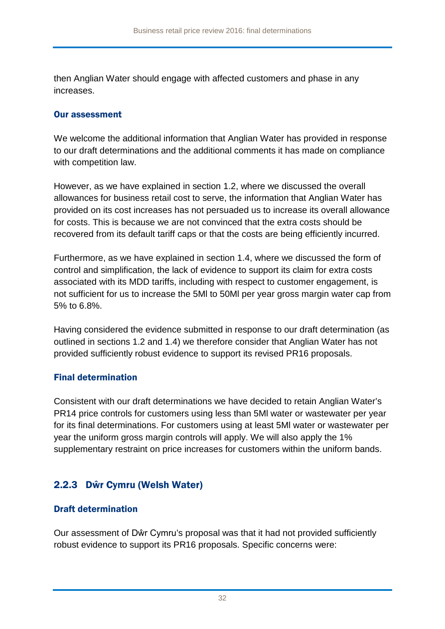then Anglian Water should engage with affected customers and phase in any increases.

#### Our assessment

We welcome the additional information that Anglian Water has provided in response to our draft determinations and the additional comments it has made on compliance with competition law.

However, as we have explained in section 1.2, where we discussed the overall allowances for business retail cost to serve, the information that Anglian Water has provided on its cost increases has not persuaded us to increase its overall allowance for costs. This is because we are not convinced that the extra costs should be recovered from its default tariff caps or that the costs are being efficiently incurred.

Furthermore, as we have explained in section 1.4, where we discussed the form of control and simplification, the lack of evidence to support its claim for extra costs associated with its MDD tariffs, including with respect to customer engagement, is not sufficient for us to increase the 5Ml to 50Ml per year gross margin water cap from 5% to 6.8%.

Having considered the evidence submitted in response to our draft determination (as outlined in sections 1.2 and 1.4) we therefore consider that Anglian Water has not provided sufficiently robust evidence to support its revised PR16 proposals.

### Final determination

Consistent with our draft determinations we have decided to retain Anglian Water's PR14 price controls for customers using less than 5Ml water or wastewater per year for its final determinations. For customers using at least 5Ml water or wastewater per year the uniform gross margin controls will apply. We will also apply the 1% supplementary restraint on price increases for customers within the uniform bands.

### 2.2.3 Dŵr Cymru (Welsh Water)

### Draft determination

Our assessment of Dŵr Cymru's proposal was that it had not provided sufficiently robust evidence to support its PR16 proposals. Specific concerns were: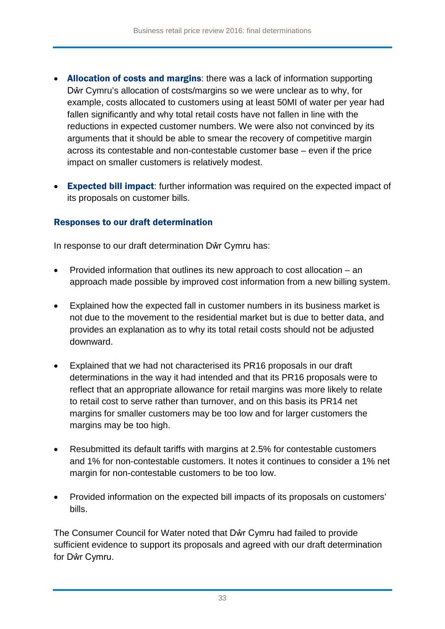- Allocation of costs and margins: there was a lack of information supporting Dŵr Cymru's allocation of costs/margins so we were unclear as to why, for example, costs allocated to customers using at least 50MI of water per year had fallen significantly and why total retail costs have not fallen in line with the reductions in expected customer numbers. We were also not convinced by its arguments that it should be able to smear the recovery of competitive margin across its contestable and non-contestable customer base – even if the price impact on smaller customers is relatively modest.
- Expected bill impact: further information was required on the expected impact of its proposals on customer bills.

### Responses to our draft determination

In response to our draft determination Dŵr Cymru has:

- Provided information that outlines its new approach to cost allocation an approach made possible by improved cost information from a new billing system.
- Explained how the expected fall in customer numbers in its business market is not due to the movement to the residential market but is due to better data, and provides an explanation as to why its total retail costs should not be adjusted downward.
- Explained that we had not characterised its PR16 proposals in our draft determinations in the way it had intended and that its PR16 proposals were to reflect that an appropriate allowance for retail margins was more likely to relate to retail cost to serve rather than turnover, and on this basis its PR14 net margins for smaller customers may be too low and for larger customers the margins may be too high.
- Resubmitted its default tariffs with margins at 2.5% for contestable customers and 1% for non-contestable customers. It notes it continues to consider a 1% net margin for non-contestable customers to be too low.
- Provided information on the expected bill impacts of its proposals on customers' bills.

The Consumer Council for Water noted that Dŵr Cymru had failed to provide sufficient evidence to support its proposals and agreed with our draft determination for Dŵr Cymru.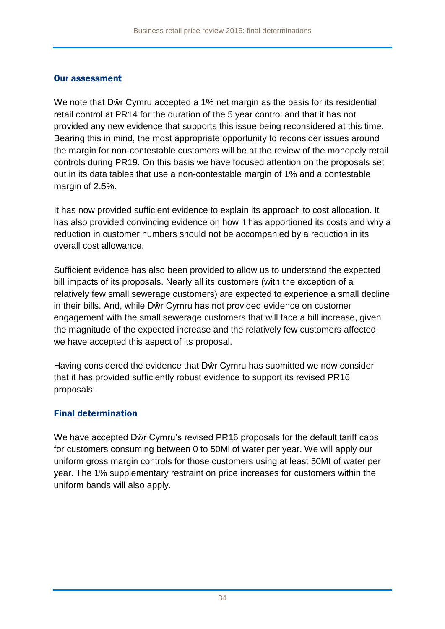#### Our assessment

We note that Dŵr Cymru accepted a 1% net margin as the basis for its residential retail control at PR14 for the duration of the 5 year control and that it has not provided any new evidence that supports this issue being reconsidered at this time. Bearing this in mind, the most appropriate opportunity to reconsider issues around the margin for non-contestable customers will be at the review of the monopoly retail controls during PR19. On this basis we have focused attention on the proposals set out in its data tables that use a non-contestable margin of 1% and a contestable margin of 2.5%.

It has now provided sufficient evidence to explain its approach to cost allocation. It has also provided convincing evidence on how it has apportioned its costs and why a reduction in customer numbers should not be accompanied by a reduction in its overall cost allowance.

Sufficient evidence has also been provided to allow us to understand the expected bill impacts of its proposals. Nearly all its customers (with the exception of a relatively few small sewerage customers) are expected to experience a small decline in their bills. And, while Dŵr Cymru has not provided evidence on customer engagement with the small sewerage customers that will face a bill increase, given the magnitude of the expected increase and the relatively few customers affected, we have accepted this aspect of its proposal.

Having considered the evidence that Dŵr Cymru has submitted we now consider that it has provided sufficiently robust evidence to support its revised PR16 proposals.

### Final determination

We have accepted Dŵr Cymru's revised PR16 proposals for the default tariff caps for customers consuming between 0 to 50Ml of water per year. We will apply our uniform gross margin controls for those customers using at least 50MI of water per year. The 1% supplementary restraint on price increases for customers within the uniform bands will also apply.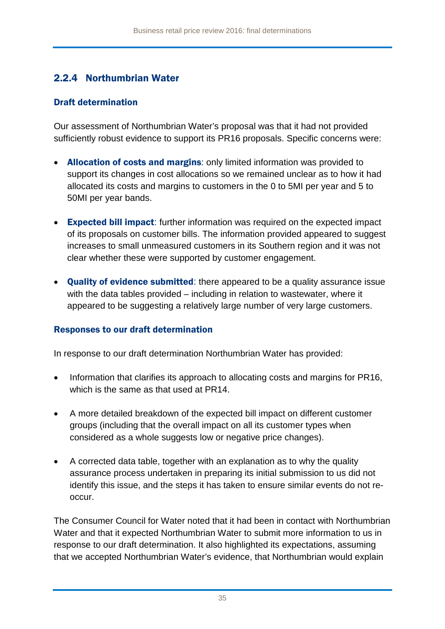### 2.2.4 Northumbrian Water

### Draft determination

Our assessment of Northumbrian Water's proposal was that it had not provided sufficiently robust evidence to support its PR16 proposals. Specific concerns were:

- Allocation of costs and margins: only limited information was provided to support its changes in cost allocations so we remained unclear as to how it had allocated its costs and margins to customers in the 0 to 5MI per year and 5 to 50MI per year bands.
- Expected bill impact: further information was required on the expected impact of its proposals on customer bills. The information provided appeared to suggest increases to small unmeasured customers in its Southern region and it was not clear whether these were supported by customer engagement.
- Quality of evidence submitted: there appeared to be a quality assurance issue with the data tables provided – including in relation to wastewater, where it appeared to be suggesting a relatively large number of very large customers.

### Responses to our draft determination

In response to our draft determination Northumbrian Water has provided:

- Information that clarifies its approach to allocating costs and margins for PR16, which is the same as that used at PR14.
- A more detailed breakdown of the expected bill impact on different customer groups (including that the overall impact on all its customer types when considered as a whole suggests low or negative price changes).
- A corrected data table, together with an explanation as to why the quality assurance process undertaken in preparing its initial submission to us did not identify this issue, and the steps it has taken to ensure similar events do not reoccur.

The Consumer Council for Water noted that it had been in contact with Northumbrian Water and that it expected Northumbrian Water to submit more information to us in response to our draft determination. It also highlighted its expectations, assuming that we accepted Northumbrian Water's evidence, that Northumbrian would explain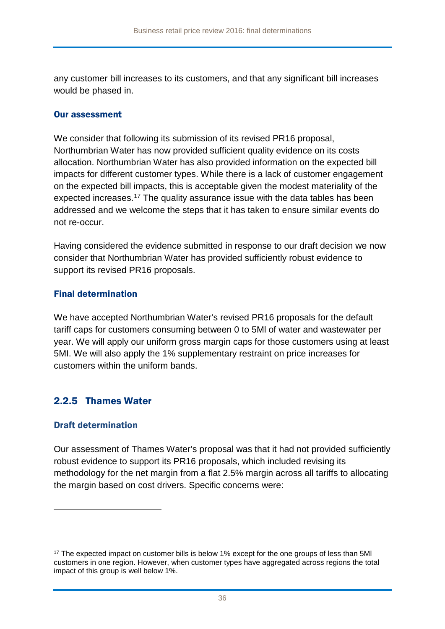any customer bill increases to its customers, and that any significant bill increases would be phased in.

#### Our assessment

We consider that following its submission of its revised PR16 proposal, Northumbrian Water has now provided sufficient quality evidence on its costs allocation. Northumbrian Water has also provided information on the expected bill impacts for different customer types. While there is a lack of customer engagement on the expected bill impacts, this is acceptable given the modest materiality of the expected increases.<sup>[17](#page-35-0)</sup> The quality assurance issue with the data tables has been addressed and we welcome the steps that it has taken to ensure similar events do not re-occur.

Having considered the evidence submitted in response to our draft decision we now consider that Northumbrian Water has provided sufficiently robust evidence to support its revised PR16 proposals.

### Final determination

We have accepted Northumbrian Water's revised PR16 proposals for the default tariff caps for customers consuming between 0 to 5Ml of water and wastewater per year. We will apply our uniform gross margin caps for those customers using at least 5MI. We will also apply the 1% supplementary restraint on price increases for customers within the uniform bands.

### 2.2.5 Thames Water

### Draft determination

<u>.</u>

Our assessment of Thames Water's proposal was that it had not provided sufficiently robust evidence to support its PR16 proposals, which included revising its methodology for the net margin from a flat 2.5% margin across all tariffs to allocating the margin based on cost drivers. Specific concerns were:

<span id="page-35-0"></span><sup>&</sup>lt;sup>17</sup> The expected impact on customer bills is below 1% except for the one groups of less than 5MI customers in one region. However, when customer types have aggregated across regions the total impact of this group is well below 1%.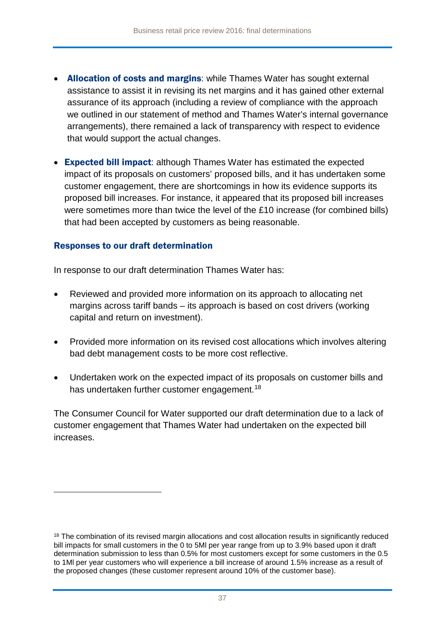- Allocation of costs and margins: while Thames Water has sought external assistance to assist it in revising its net margins and it has gained other external assurance of its approach (including a review of compliance with the approach we outlined in our [statement of method](http://www.ofwat.gov.uk/wp-content/uploads/2016/03/gud_pro20160518pr16methodology.pdf) and Thames Water's internal governance arrangements), there remained a lack of transparency with respect to evidence that would support the actual changes.
- Expected bill impact: although Thames Water has estimated the expected impact of its proposals on customers' proposed bills, and it has undertaken some customer engagement, there are shortcomings in how its evidence supports its proposed bill increases. For instance, it appeared that its proposed bill increases were sometimes more than twice the level of the £10 increase (for combined bills) that had been accepted by customers as being reasonable.

#### Responses to our draft determination

<u>.</u>

In response to our draft determination Thames Water has:

- Reviewed and provided more information on its approach to allocating net margins across tariff bands – its approach is based on cost drivers (working capital and return on investment).
- Provided more information on its revised cost allocations which involves altering bad debt management costs to be more cost reflective.
- Undertaken work on the expected impact of its proposals on customer bills and has undertaken further customer engagement.<sup>[18](#page-36-0)</sup>

The Consumer Council for Water supported our draft determination due to a lack of customer engagement that Thames Water had undertaken on the expected bill increases.

<span id="page-36-0"></span><sup>&</sup>lt;sup>18</sup> The combination of its revised margin allocations and cost allocation results in significantly reduced bill impacts for small customers in the 0 to 5Ml per year range from up to 3.9% based upon it draft determination submission to less than 0.5% for most customers except for some customers in the 0.5 to 1Ml per year customers who will experience a bill increase of around 1.5% increase as a result of the proposed changes (these customer represent around 10% of the customer base).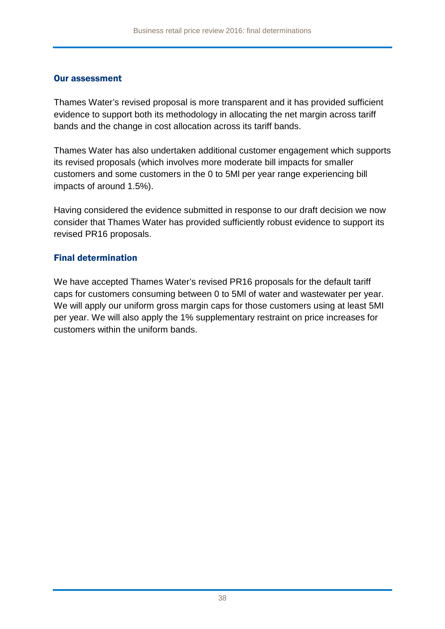#### Our assessment

Thames Water's revised proposal is more transparent and it has provided sufficient evidence to support both its methodology in allocating the net margin across tariff bands and the change in cost allocation across its tariff bands.

Thames Water has also undertaken additional customer engagement which supports its revised proposals (which involves more moderate bill impacts for smaller customers and some customers in the 0 to 5Ml per year range experiencing bill impacts of around 1.5%).

Having considered the evidence submitted in response to our draft decision we now consider that Thames Water has provided sufficiently robust evidence to support its revised PR16 proposals.

### Final determination

We have accepted Thames Water's revised PR16 proposals for the default tariff caps for customers consuming between 0 to 5Ml of water and wastewater per year. We will apply our uniform gross margin caps for those customers using at least 5MI per year. We will also apply the 1% supplementary restraint on price increases for customers within the uniform bands.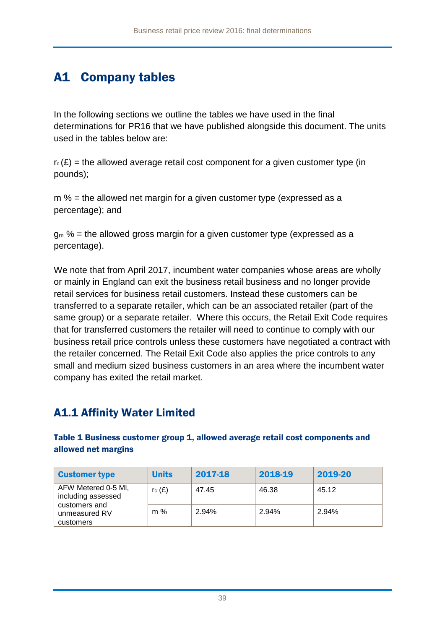## A1 Company tables

In the following sections we outline the tables we have used in the final determinations for PR16 that we have published alongside this document. The units used in the tables below are:

 $r_c(E)$  = the allowed average retail cost component for a given customer type (in pounds);

 $m$  % = the allowed net margin for a given customer type (expressed as a percentage); and

 $\alpha$  % = the allowed gross margin for a given customer type (expressed as a percentage).

We note that from April 2017, incumbent water companies whose areas are wholly or mainly in England can exit the business retail business and no longer provide retail services for business retail customers. Instead these customers can be transferred to a separate retailer, which can be an associated retailer (part of the same group) or a separate retailer. Where this occurs, the Retail Exit Code requires that for transferred customers the retailer will need to continue to comply with our business retail price controls unless these customers have negotiated a contract with the retailer concerned. The Retail Exit Code also applies the price controls to any small and medium sized business customers in an area where the incumbent water company has exited the retail market.

### A1.1 Affinity Water Limited

Table 1 Business customer group 1, allowed average retail cost components and allowed net margins

| <b>Customer type</b>                                       | <b>Units</b> | 2017-18 | 2018-19 | 2019-20 |
|------------------------------------------------------------|--------------|---------|---------|---------|
| AFW Metered 0-5 MI,<br>including assessed<br>customers and | $r_c(f)$     | 47.45   | 46.38   | 45.12   |
| unmeasured RV<br>customers                                 | $m\%$        | 2.94%   | 2.94%   | 2.94%   |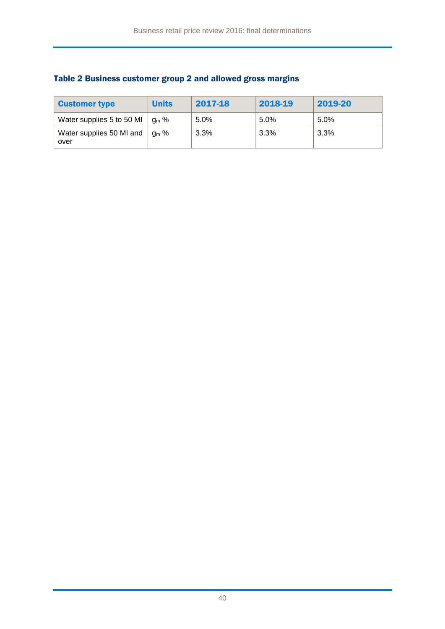| <b>Customer type</b>             | <b>Units</b> | 2017-18 | 2018-19 | 2019-20 |
|----------------------------------|--------------|---------|---------|---------|
| Water supplies 5 to 50 MI        | $a_m$ %      | 5.0%    | 5.0%    | 5.0%    |
| Water supplies 50 MI and<br>over | $a_m$ %      | 3.3%    | 3.3%    | $3.3\%$ |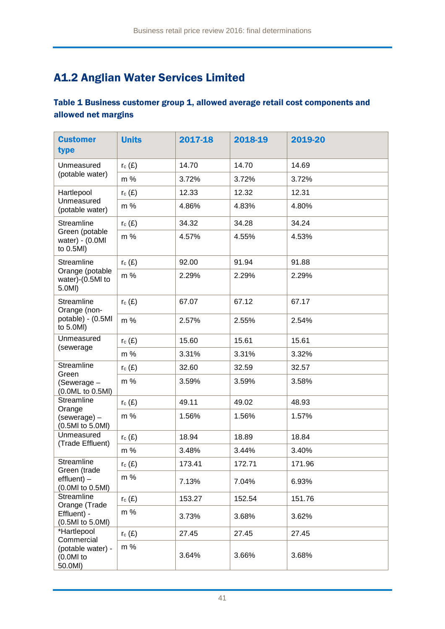## A1.2 Anglian Water Services Limited

### Table 1 Business customer group 1, allowed average retail cost components and allowed net margins

| <b>Customer</b><br>type                            | <b>Units</b> | 2017-18 | 2018-19 | 2019-20 |
|----------------------------------------------------|--------------|---------|---------|---------|
| Unmeasured                                         | $r_c(E)$     | 14.70   | 14.70   | 14.69   |
| (potable water)                                    | m %          | 3.72%   | 3.72%   | 3.72%   |
| Hartlepool                                         | $r_c(E)$     | 12.33   | 12.32   | 12.31   |
| Unmeasured<br>(potable water)                      | $m\%$        | 4.86%   | 4.83%   | 4.80%   |
| Streamline                                         | $r_c(E)$     | 34.32   | 34.28   | 34.24   |
| Green (potable<br>water) - $(0.0MI)$<br>to 0.5MI)  | m %          | 4.57%   | 4.55%   | 4.53%   |
| Streamline                                         | $r_c(E)$     | 92.00   | 91.94   | 91.88   |
| Orange (potable<br>water)-(0.5MI to<br>5.0MI)      | m %          | 2.29%   | 2.29%   | 2.29%   |
| Streamline<br>Orange (non-                         | $r_c(E)$     | 67.07   | 67.12   | 67.17   |
| potable) - (0.5MI<br>to 5.0MI)                     | m %          | 2.57%   | 2.55%   | 2.54%   |
| Unmeasured                                         | $r_c(E)$     | 15.60   | 15.61   | 15.61   |
| (sewerage                                          | m %          | 3.31%   | 3.31%   | 3.32%   |
| Streamline<br>Green                                | $r_c(E)$     | 32.60   | 32.59   | 32.57   |
| (Sewerage -<br>(0.0ML to 0.5MI)                    | m %          | 3.59%   | 3.59%   | 3.58%   |
| Streamline                                         | $r_c(E)$     | 49.11   | 49.02   | 48.93   |
| Orange<br>(sewerage) -<br>(0.5MI to 5.0MI)         | m %          | 1.56%   | 1.56%   | 1.57%   |
| Unmeasured                                         | $r_c(E)$     | 18.94   | 18.89   | 18.84   |
| (Trade Effluent)                                   | m %          | 3.48%   | 3.44%   | 3.40%   |
| Streamline                                         | $r_c(E)$     | 173.41  | 172.71  | 171.96  |
| Green (trade<br>$effluent$ ) –<br>(0.0Ml to 0.5Ml) | m %          | 7.13%   | 7.04%   | 6.93%   |
| Streamline<br>Orange (Trade                        | $r_c(E)$     | 153.27  | 152.54  | 151.76  |
| Effluent) -<br>(0.5MI to 5.0MI)                    | m %          | 3.73%   | 3.68%   | 3.62%   |
| *Hartlepool<br>Commercial                          | $r_c(E)$     | 27.45   | 27.45   | 27.45   |
| (potable water) -<br>$(0.0Ml)$ to<br>50.0MI)       | m %          | 3.64%   | 3.66%   | 3.68%   |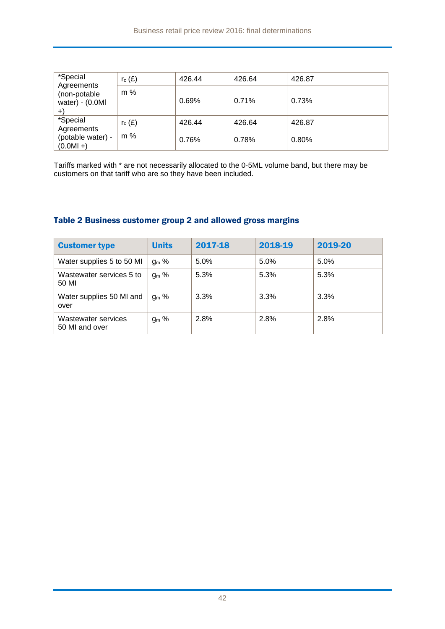| *Special<br>Agreements                      | $r_c(E)$  | 426.44 | 426.64 | 426.87 |
|---------------------------------------------|-----------|--------|--------|--------|
| (non-potable<br>water) - $(0.0M)$<br>$^{+}$ | $m\%$     | 0.69%  | 0.71%  | 0.73%  |
| *Special<br>Agreements                      | $r_c$ (£) | 426.44 | 426.64 | 426.87 |
| (potable water) -<br>$(0.0MI + )$           | m %       | 0.76%  | 0.78%  | 0.80%  |

Tariffs marked with \* are not necessarily allocated to the 0-5ML volume band, but there may be customers on that tariff who are so they have been included.

| <b>Customer type</b>                  | <b>Units</b> | 2017-18 | 2018-19 | 2019-20 |
|---------------------------------------|--------------|---------|---------|---------|
| Water supplies 5 to 50 MI             | $g_m$ %      | 5.0%    | 5.0%    | 5.0%    |
| Wastewater services 5 to<br>50 MI     | $g_m$ %      | 5.3%    | 5.3%    | 5.3%    |
| Water supplies 50 MI and<br>over      | $g_m$ %      | 3.3%    | 3.3%    | 3.3%    |
| Wastewater services<br>50 MI and over | $g_m$ %      | 2.8%    | 2.8%    | 2.8%    |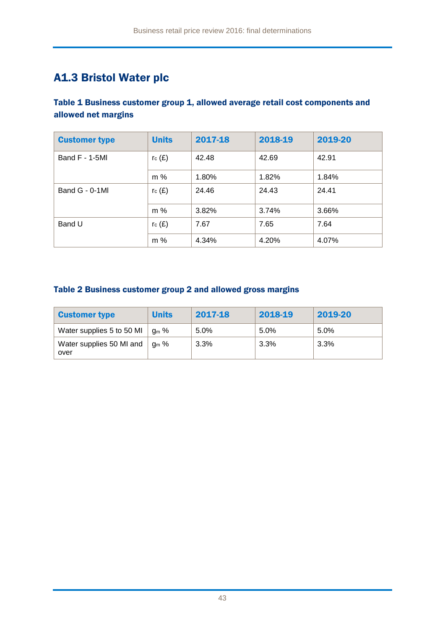### A1.3 Bristol Water plc

### Table 1 Business customer group 1, allowed average retail cost components and allowed net margins

| <b>Customer type</b> | <b>Units</b> | 2017-18 | 2018-19 | 2019-20 |
|----------------------|--------------|---------|---------|---------|
| Band $F - 1 - 5M$    | $r_c(E)$     | 42.48   | 42.69   | 42.91   |
|                      | m %          | 1.80%   | 1.82%   | 1.84%   |
| Band G - 0-1MI       | $r_c(E)$     | 24.46   | 24.43   | 24.41   |
|                      | m %          | 3.82%   | 3.74%   | 3.66%   |
| Band U               | $r_c(E)$     | 7.67    | 7.65    | 7.64    |
|                      | m %          | 4.34%   | 4.20%   | 4.07%   |

| <b>Customer type</b>                         | <b>Units</b>             | 2017-18 | 2018-19 | 2019-20 |
|----------------------------------------------|--------------------------|---------|---------|---------|
| Water supplies 5 to 50 MI                    | $\cdot$ g <sub>m</sub> % | 5.0%    | 5.0%    | $5.0\%$ |
| Water supplies 50 MI and $\parallel$<br>over | $\log m$ %               | $3.3\%$ | 3.3%    | 3.3%    |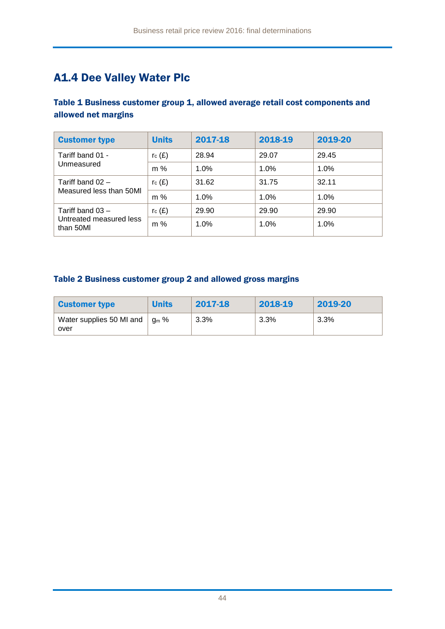## A1.4 Dee Valley Water Plc

### Table 1 Business customer group 1, allowed average retail cost components and allowed net margins

| <b>Customer type</b>                          | <b>Units</b> | 2017-18 | 2018-19 | 2019-20 |
|-----------------------------------------------|--------------|---------|---------|---------|
| Tariff band 01 -<br>Unmeasured                | $r_c(E)$     | 28.94   | 29.07   | 29.45   |
|                                               | $m\%$        | 1.0%    | 1.0%    | 1.0%    |
| Tariff band $02 -$<br>Measured less than 50MI | $r_c(E)$     | 31.62   | 31.75   | 32.11   |
|                                               | $m\%$        | 1.0%    | 1.0%    | 1.0%    |
| Tariff band $03 -$                            | $r_c(E)$     | 29.90   | 29.90   | 29.90   |
| Untreated measured less<br>than 50MI          | $m\%$        | 1.0%    | 1.0%    | 1.0%    |

| <b>Customer type</b>             | <b>Units</b>             | 2017-18 | 2018-19 | 2019-20 |
|----------------------------------|--------------------------|---------|---------|---------|
| Water supplies 50 MI and<br>over | $\cdot$ a <sub>m</sub> % | $3.3\%$ | $3.3\%$ | 3.3%    |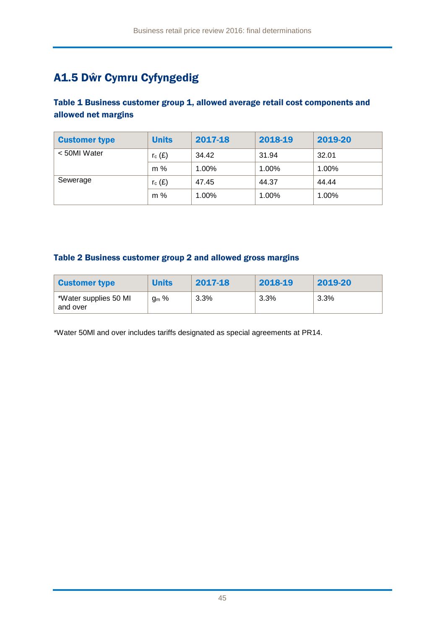## A1.5 Dŵr Cymru Cyfyngedig

### Table 1 Business customer group 1, allowed average retail cost components and allowed net margins

| <b>Customer type</b> | <b>Units</b> | 2017-18  | 2018-19 | 2019-20 |
|----------------------|--------------|----------|---------|---------|
| < 50MI Water         | $r_c(E)$     | 34.42    | 31.94   | 32.01   |
|                      | $m\%$        | $1.00\%$ | 1.00%   | 1.00%   |
| Sewerage             | $r_c(E)$     | 47.45    | 44.37   | 44.44   |
|                      | $m\%$        | 1.00%    | 1.00%   | 1.00%   |

#### Table 2 Business customer group 2 and allowed gross margins

| <b>Customer type</b>              | <b>Units</b> | 2017-18 | 2018-19 | 2019-20 |
|-----------------------------------|--------------|---------|---------|---------|
| *Water supplies 50 MI<br>and over | $g_m$ %      | 3.3%    | 3.3%    | 3.3%    |

\*Water 50Ml and over includes tariffs designated as special agreements at PR14.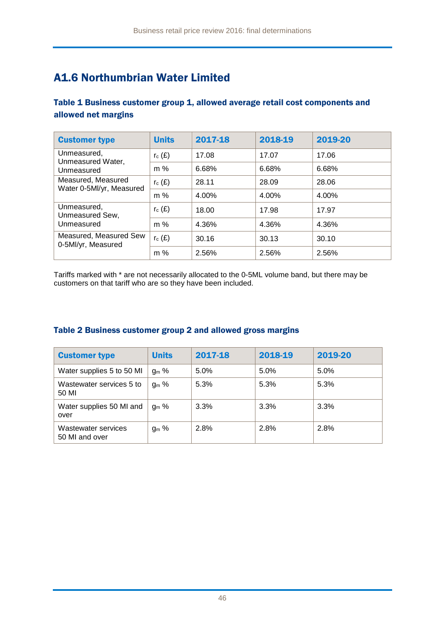## A1.6 Northumbrian Water Limited

### Table 1 Business customer group 1, allowed average retail cost components and allowed net margins

| <b>Customer type</b>                           | <b>Units</b> | 2017-18 | 2018-19 | 2019-20 |
|------------------------------------------------|--------------|---------|---------|---------|
| Unmeasured,<br>Unmeasured Water,               | $r_c(E)$     | 17.08   | 17.07   | 17.06   |
| Unmeasured                                     | $m\%$        | 6.68%   | 6.68%   | 6.68%   |
| Measured, Measured<br>Water 0-5Ml/yr, Measured | $r_c(E)$     | 28.11   | 28.09   | 28.06   |
|                                                | m %          | 4.00%   | 4.00%   | 4.00%   |
| Unmeasured,<br>Unmeasured Sew,<br>Unmeasured   | $r_c(E)$     | 18.00   | 17.98   | 17.97   |
|                                                | $m\%$        | 4.36%   | 4.36%   | 4.36%   |
| Measured, Measured Sew<br>0-5Ml/yr, Measured   | $r_c(E)$     | 30.16   | 30.13   | 30.10   |
|                                                | $m\%$        | 2.56%   | 2.56%   | 2.56%   |

Tariffs marked with \* are not necessarily allocated to the 0-5ML volume band, but there may be customers on that tariff who are so they have been included.

| <b>Customer type</b>                  | <b>Units</b> | 2017-18 | 2018-19 | 2019-20 |
|---------------------------------------|--------------|---------|---------|---------|
| Water supplies 5 to 50 MI             | $g_m$ %      | 5.0%    | 5.0%    | 5.0%    |
| Wastewater services 5 to<br>50 MI     | $g_m$ %      | 5.3%    | 5.3%    | 5.3%    |
| Water supplies 50 MI and<br>over      | $q_m$ %      | 3.3%    | 3.3%    | 3.3%    |
| Wastewater services<br>50 MI and over | $g_m$ %      | 2.8%    | 2.8%    | 2.8%    |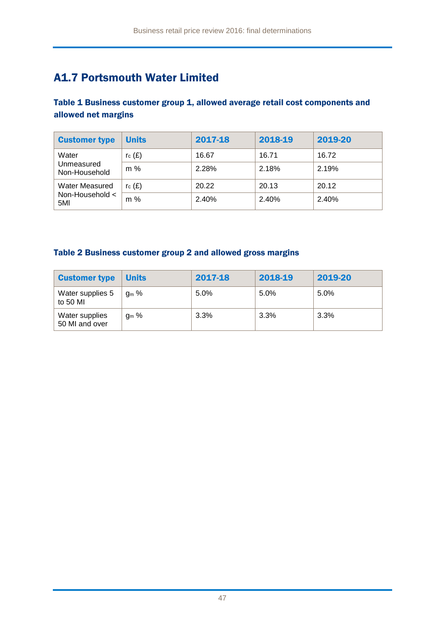## A1.7 Portsmouth Water Limited

### Table 1 Business customer group 1, allowed average retail cost components and allowed net margins

| <b>Customer type</b>        | <b>Units</b> | 2017-18 | 2018-19 | 2019-20 |
|-----------------------------|--------------|---------|---------|---------|
| Water                       | $r_c(E)$     | 16.67   | 16.71   | 16.72   |
| Unmeasured<br>Non-Household | $m\%$        | 2.28%   | 2.18%   | 2.19%   |
| <b>Water Measured</b>       | $r_c(f)$     | 20.22   | 20.13   | 20.12   |
| Non-Household $\lt$<br>5MI  | m %          | 2.40%   | 2.40%   | 2.40%   |

| <b>Customer type</b>             | <b>Units</b>     | 2017-18 | 2018-19 | 2019-20 |
|----------------------------------|------------------|---------|---------|---------|
| Water supplies 5<br>to 50 MI     | ց <sub>ա</sub> % | 5.0%    | 5.0%    | 5.0%    |
| Water supplies<br>50 MI and over | $g_m$ %          | 3.3%    | 3.3%    | 3.3%    |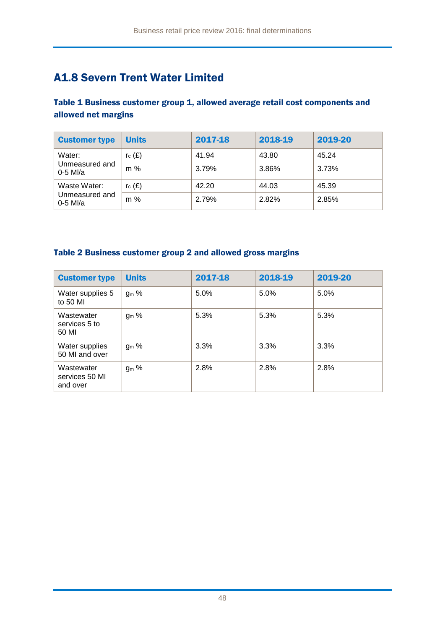## A1.8 Severn Trent Water Limited

### Table 1 Business customer group 1, allowed average retail cost components and allowed net margins

| <b>Customer type</b>         | <b>Units</b> | 2017-18 | 2018-19 | 2019-20 |
|------------------------------|--------------|---------|---------|---------|
| Water:                       | $r_c(E)$     | 41.94   | 43.80   | 45.24   |
| Unmeasured and<br>$0-5$ MI/a | m %          | 3.79%   | 3.86%   | 3.73%   |
| Waste Water:                 | rc(E)        | 42.20   | 44.03   | 45.39   |
| Unmeasured and<br>$0-5$ MI/a | $m\%$        | 2.79%   | 2.82%   | 2.85%   |

| <b>Customer type</b>                     | <b>Units</b> | 2017-18 | 2018-19 | 2019-20 |
|------------------------------------------|--------------|---------|---------|---------|
| Water supplies 5<br>to 50 MI             | $g_m$ %      | 5.0%    | 5.0%    | 5.0%    |
| Wastewater<br>services 5 to<br>50 MI     | $g_m$ %      | 5.3%    | 5.3%    | 5.3%    |
| Water supplies<br>50 MI and over         | $g_m$ %      | 3.3%    | 3.3%    | 3.3%    |
| Wastewater<br>services 50 MI<br>and over | $gm$ %       | 2.8%    | 2.8%    | 2.8%    |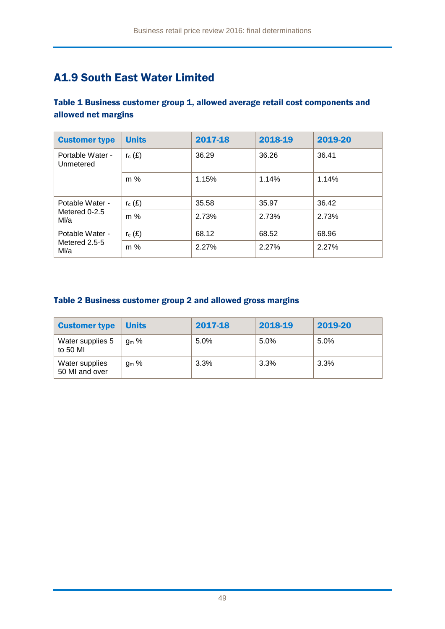## A1.9 South East Water Limited

### Table 1 Business customer group 1, allowed average retail cost components and allowed net margins

| <b>Customer type</b>          | <b>Units</b> | 2017-18 | 2018-19 | 2019-20 |
|-------------------------------|--------------|---------|---------|---------|
| Portable Water -<br>Unmetered | $r_c(E)$     | 36.29   | 36.26   | 36.41   |
|                               | m %          | 1.15%   | 1.14%   | 1.14%   |
| Potable Water -               | $r_c(E)$     | 35.58   | 35.97   | 36.42   |
| Metered 0-2.5<br>M/a          | m %          | 2.73%   | 2.73%   | 2.73%   |
| Potable Water -               | $r_c(E)$     | 68.12   | 68.52   | 68.96   |
| Metered 2.5-5<br>Ml/a         | $m\%$        | 2.27%   | 2.27%   | 2.27%   |

| <b>Customer type</b>             | <b>Units</b> | 2017-18 | 2018-19 | 2019-20 |
|----------------------------------|--------------|---------|---------|---------|
| Water supplies 5<br>to 50 MI     | $q_m$ %      | 5.0%    | 5.0%    | 5.0%    |
| Water supplies<br>50 MI and over | $q_m$ %      | 3.3%    | 3.3%    | 3.3%    |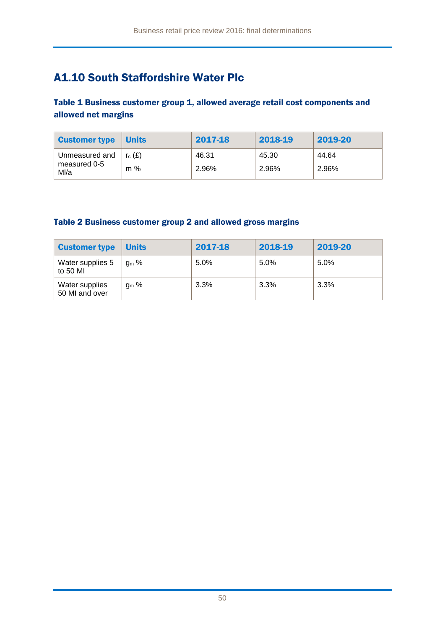## A1.10 South Staffordshire Water Plc

### Table 1 Business customer group 1, allowed average retail cost components and allowed net margins

| <b>Customer type</b> | <b>Units</b> | 2017-18 | 2018-19 | 2019-20 |
|----------------------|--------------|---------|---------|---------|
| Unmeasured and       | $r_c(E)$     | 46.31   | 45.30   | 44.64   |
| measured 0-5<br>Ml/a | m %          | 2.96%   | 2.96%   | 2.96%   |

| <b>Customer type</b>             | <b>Units</b> | 2017-18 | 2018-19 | 2019-20 |
|----------------------------------|--------------|---------|---------|---------|
| Water supplies 5<br>to 50 MI     | $q_m$ %      | 5.0%    | 5.0%    | 5.0%    |
| Water supplies<br>50 MI and over | $q_m$ %      | 3.3%    | 3.3%    | 3.3%    |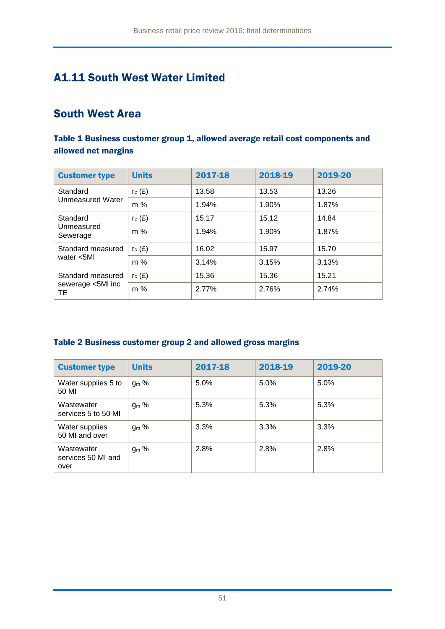### A1.11 South West Water Limited

### South West Area

### Table 1 Business customer group 1, allowed average retail cost components and allowed net margins

| <b>Customer type</b>            | <b>Units</b> | 2017-18 | 2018-19 | 2019-20 |
|---------------------------------|--------------|---------|---------|---------|
| Standard                        | $r_c(E)$     | 13.58   | 13.53   | 13.26   |
| Unmeasured Water                | m %          | 1.94%   | 1.90%   | 1.87%   |
| Standard                        | rc(E)        | 15.17   | 15.12   | 14.84   |
| Unmeasured<br>Sewerage          | $m\%$        | 1.94%   | 1.90%   | 1.87%   |
| Standard measured<br>water <5Ml | rc(E)        | 16.02   | 15.97   | 15.70   |
|                                 | $m\%$        | 3.14%   | 3.15%   | 3.13%   |
| Standard measured               | rc(E)        | 15.36   | 15.36   | 15.21   |
| sewerage <5MI inc<br>TE.        | $m\%$        | 2.77%   | 2.76%   | 2.74%   |

| <b>Customer type</b>                     | <b>Units</b> | 2017-18 | 2018-19 | 2019-20 |
|------------------------------------------|--------------|---------|---------|---------|
| Water supplies 5 to<br>50 MI             | $g_m$ %      | 5.0%    | 5.0%    | 5.0%    |
| Wastewater<br>services 5 to 50 MI        | $g_m$ %      | 5.3%    | 5.3%    | 5.3%    |
| Water supplies<br>50 MI and over         | $g_m$ %      | 3.3%    | 3.3%    | 3.3%    |
| Wastewater<br>services 50 MI and<br>over | $g_m$ %      | 2.8%    | 2.8%    | 2.8%    |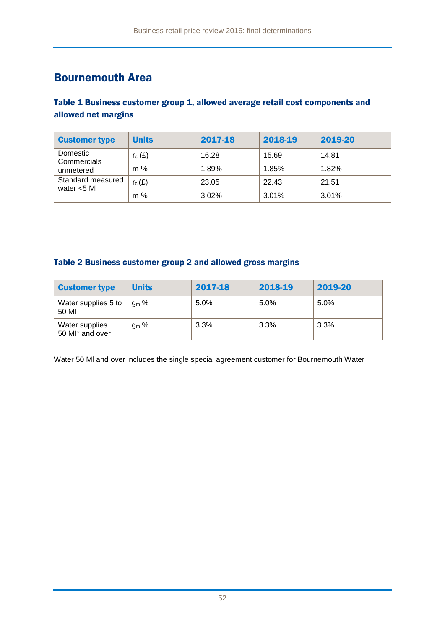### Bournemouth Area

### Table 1 Business customer group 1, allowed average retail cost components and allowed net margins

| <b>Customer type</b>                 | <b>Units</b> | 2017-18 | 2018-19 | 2019-20 |
|--------------------------------------|--------------|---------|---------|---------|
| Domestic<br>Commercials<br>unmetered | $r_c(E)$     | 16.28   | 15.69   | 14.81   |
|                                      | m %          | 1.89%   | 1.85%   | 1.82%   |
| Standard measured<br>water $<$ 5 MI  | $r_c(E)$     | 23.05   | 22.43   | 21.51   |
|                                      | $m\%$        | 3.02%   | 3.01%   | 3.01%   |

### Table 2 Business customer group 2 and allowed gross margins

| <b>Customer type</b>                          | <b>Units</b>     | 2017-18 | 2018-19 | 2019-20 |
|-----------------------------------------------|------------------|---------|---------|---------|
| Water supplies 5 to<br>50 MI                  | $q_m$ %          | 5.0%    | 5.0%    | 5.0%    |
| Water supplies<br>50 MI <sup>*</sup> and over | g <sub>m</sub> % | 3.3%    | 3.3%    | 3.3%    |

Water 50 Ml and over includes the single special agreement customer for Bournemouth Water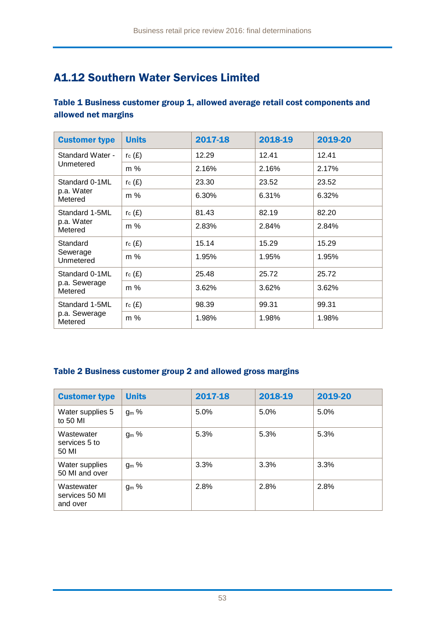## A1.12 Southern Water Services Limited

### Table 1 Business customer group 1, allowed average retail cost components and allowed net margins

| <b>Customer type</b>     | <b>Units</b> | 2017-18 | 2018-19 | 2019-20 |
|--------------------------|--------------|---------|---------|---------|
| Standard Water -         | rc(E)        | 12.29   | 12.41   | 12.41   |
| Unmetered                | $m\%$        | 2.16%   | 2.16%   | 2.17%   |
| Standard 0-1ML           | $r_c(E)$     | 23.30   | 23.52   | 23.52   |
| p.a. Water<br>Metered    | m %          | 6.30%   | 6.31%   | 6.32%   |
| Standard 1-5ML           | $r_c(E)$     | 81.43   | 82.19   | 82.20   |
| p.a. Water<br>Metered    | m %          | 2.83%   | 2.84%   | 2.84%   |
| Standard                 | $r_c(E)$     | 15.14   | 15.29   | 15.29   |
| Sewerage<br>Unmetered    | $m\%$        | 1.95%   | 1.95%   | 1.95%   |
| Standard 0-1ML           | $r_c(E)$     | 25.48   | 25.72   | 25.72   |
| p.a. Sewerage<br>Metered | m %          | 3.62%   | 3.62%   | 3.62%   |
| Standard 1-5ML           | $r_c(E)$     | 98.39   | 99.31   | 99.31   |
| p.a. Sewerage<br>Metered | m %          | 1.98%   | 1.98%   | 1.98%   |

| <b>Customer type</b>                     | <b>Units</b>     | 2017-18 | 2018-19 | 2019-20 |
|------------------------------------------|------------------|---------|---------|---------|
| Water supplies 5<br>to 50 MI             | ց <sub>ա</sub> % | 5.0%    | 5.0%    | 5.0%    |
| Wastewater<br>services 5 to<br>50 MI     | $g_m$ %          | 5.3%    | 5.3%    | 5.3%    |
| Water supplies<br>50 MI and over         | $g_m$ %          | 3.3%    | 3.3%    | 3.3%    |
| Wastewater<br>services 50 MI<br>and over | $g_m$ %          | 2.8%    | 2.8%    | 2.8%    |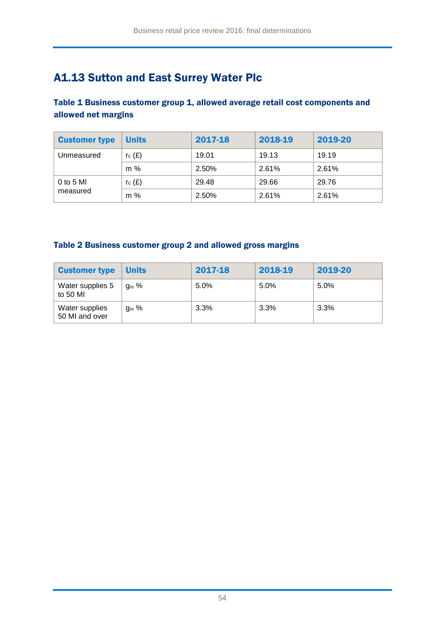## A1.13 Sutton and East Surrey Water Plc

Table 1 Business customer group 1, allowed average retail cost components and allowed net margins

| <b>Customer type</b>    | <b>Units</b> | 2017-18 | 2018-19 | 2019-20 |
|-------------------------|--------------|---------|---------|---------|
| Unmeasured              | rc(E)        | 19.01   | 19.13   | 19.19   |
|                         | $m\%$        | 2.50%   | 2.61%   | 2.61%   |
| $0$ to 5 MI<br>measured | rc(E)        | 29.48   | 29.66   | 29.76   |
|                         | $m\%$        | 2.50%   | 2.61%   | 2.61%   |

| <b>Customer type</b>             | <b>Units</b>     | 2017-18 | 2018-19 | 2019-20 |
|----------------------------------|------------------|---------|---------|---------|
| Water supplies 5<br>to 50 MI     | $q_m$ %          | 5.0%    | 5.0%    | 5.0%    |
| Water supplies<br>50 MI and over | ց <sub>ա</sub> % | 3.3%    | 3.3%    | 3.3%    |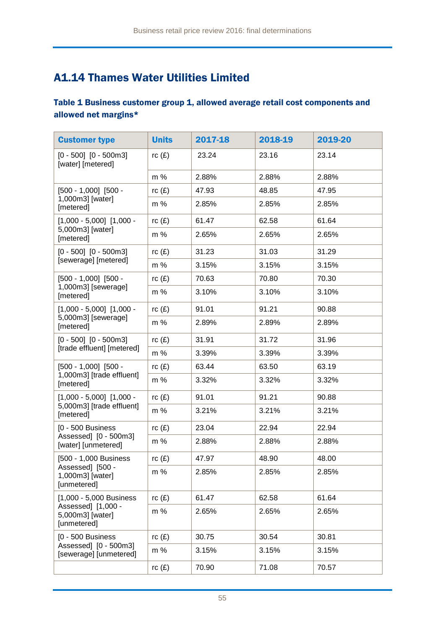## A1.14 Thames Water Utilities Limited

### Table 1 Business customer group 1, allowed average retail cost components and allowed net margins\*

| <b>Customer type</b>                                  | <b>Units</b> | 2017-18 | 2018-19 | 2019-20 |
|-------------------------------------------------------|--------------|---------|---------|---------|
| $[0 - 500]$ $[0 - 500$ m3]<br>[water] [metered]       | rc(E)        | 23.24   | 23.16   | 23.14   |
|                                                       | m %          | 2.88%   | 2.88%   | 2.88%   |
| $[500 - 1,000]$ $[500 -$                              | rc(E)        | 47.93   | 48.85   | 47.95   |
| 1,000m3] [water]<br>[metered]                         | $m\%$        | 2.85%   | 2.85%   | 2.85%   |
| $[1,000 - 5,000]$ $[1,000 -$                          | rc(E)        | 61.47   | 62.58   | 61.64   |
| 5,000m3] [water]<br>[metered]                         | $m\%$        | 2.65%   | 2.65%   | 2.65%   |
| $[0 - 500]$ $[0 - 500m3]$                             | rc(E)        | 31.23   | 31.03   | 31.29   |
| [sewerage] [metered]                                  | m %          | 3.15%   | 3.15%   | 3.15%   |
| $[500 - 1,000]$ $[500 -$                              | rc(E)        | 70.63   | 70.80   | 70.30   |
| 1,000m3] [sewerage]<br>[metered]                      | m %          | 3.10%   | 3.10%   | 3.10%   |
| $[1,000 - 5,000]$ $[1,000 -$                          | rc(E)        | 91.01   | 91.21   | 90.88   |
| 5,000m3] [sewerage]<br>[metered]                      | $m\%$        | 2.89%   | 2.89%   | 2.89%   |
| $[0 - 500]$ $[0 - 500$ m3]                            | rc(E)        | 31.91   | 31.72   | 31.96   |
| [trade effluent] [metered]                            | m %          | 3.39%   | 3.39%   | 3.39%   |
| $[500 - 1,000]$ $[500 -$                              | rc(E)        | 63.44   | 63.50   | 63.19   |
| 1,000m3] [trade effluent]<br>[metered]                | m %          | 3.32%   | 3.32%   | 3.32%   |
| $[1,000 - 5,000]$ $[1,000 -$                          | rc(E)        | 91.01   | 91.21   | 90.88   |
| 5,000m3] [trade effluent]<br>[metered]                | m %          | 3.21%   | 3.21%   | 3.21%   |
| [0 - 500 Business                                     | rc(E)        | 23.04   | 22.94   | 22.94   |
| Assessed] [0 - 500m3]<br>[water] [unmetered]          | m %          | 2.88%   | 2.88%   | 2.88%   |
| [500 - 1,000 Business                                 | rc(E)        | 47.97   | 48.90   | 48.00   |
| Assessed] [500 -<br>1,000m3] [water]<br>[unmetered]   | $m\%$        | 2.85%   | 2.85%   | 2.85%   |
| [1,000 - 5,000 Business                               | rc(E)        | 61.47   | 62.58   | 61.64   |
| Assessed] [1,000 -<br>5,000m3] [water]<br>[unmetered] | m %          | 2.65%   | 2.65%   | 2.65%   |
| [0 - 500 Business                                     | rc(E)        | 30.75   | 30.54   | 30.81   |
| Assessed] [0 - 500m3]<br>[sewerage] [unmetered]       | m %          | 3.15%   | 3.15%   | 3.15%   |
|                                                       | rc(E)        | 70.90   | 71.08   | 70.57   |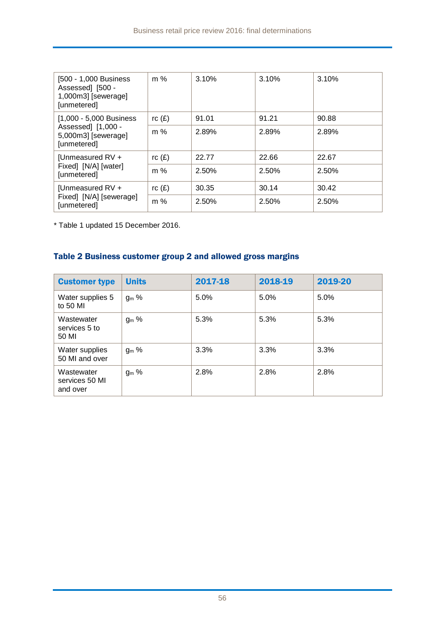| [500 - 1,000 Business]<br>Assessed] [500 -<br>1,000m3] [sewerage]<br>[unmetered] | $m\%$ | 3.10% | 3.10% | 3.10% |
|----------------------------------------------------------------------------------|-------|-------|-------|-------|
| [1,000 - 5,000 Business]                                                         | rc(E) | 91.01 | 91.21 | 90.88 |
| Assessed] [1,000 -<br>5,000m3] [sewerage]<br>[unmetered]                         | $m\%$ | 2.89% | 2.89% | 2.89% |
| [Unmeasured RV +<br>Fixed] [N/A] [water]<br>[unmetered]                          | rc(E) | 22.77 | 22.66 | 22.67 |
|                                                                                  | $m\%$ | 2.50% | 2.50% | 2.50% |
| [Unmeasured RV +                                                                 | rc(E) | 30.35 | 30.14 | 30.42 |
| Fixed] [N/A] [sewerage]<br>[unmetered]                                           | $m\%$ | 2.50% | 2.50% | 2.50% |

\* Table 1 updated 15 December 2016.

| <b>Customer type</b>                     | <b>Units</b>     | 2017-18 | 2018-19 | 2019-20 |
|------------------------------------------|------------------|---------|---------|---------|
| Water supplies 5<br>to 50 MI             | $g_m$ %          | 5.0%    | 5.0%    | 5.0%    |
| Wastewater<br>services 5 to<br>50 MI     | ց <sub>ա</sub> % | 5.3%    | 5.3%    | 5.3%    |
| Water supplies<br>50 MI and over         | g <sub>m</sub> % | 3.3%    | 3.3%    | 3.3%    |
| Wastewater<br>services 50 MI<br>and over | $g_m$ %          | 2.8%    | 2.8%    | 2.8%    |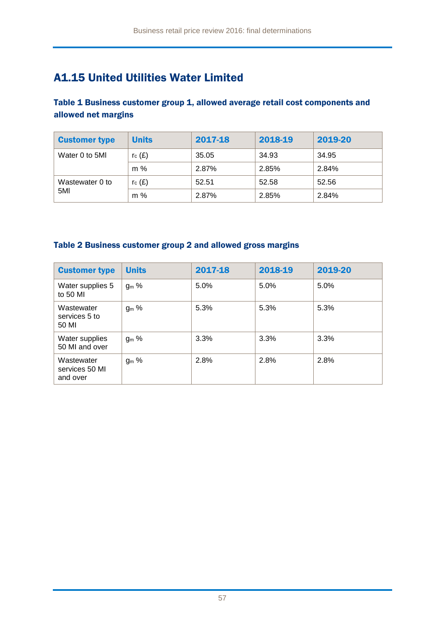## A1.15 United Utilities Water Limited

Table 1 Business customer group 1, allowed average retail cost components and allowed net margins

| <b>Customer type</b> | <b>Units</b> | 2017-18 | 2018-19 | 2019-20 |
|----------------------|--------------|---------|---------|---------|
| Water 0 to 5MI       | $r_c(f)$     | 35.05   | 34.93   | 34.95   |
|                      | $m\%$        | 2.87%   | 2.85%   | 2.84%   |
| Wastewater 0 to      | $r_c(f)$     | 52.51   | 52.58   | 52.56   |
| 5MI                  | $m\%$        | 2.87%   | 2.85%   | 2.84%   |

| <b>Customer type</b>                     | <b>Units</b>     | 2017-18 | 2018-19 | 2019-20 |
|------------------------------------------|------------------|---------|---------|---------|
| Water supplies 5<br>to 50 MI             | g <sub>m</sub> % | 5.0%    | 5.0%    | 5.0%    |
| Wastewater<br>services 5 to<br>50 MI     | $g_m$ %          | 5.3%    | 5.3%    | 5.3%    |
| Water supplies<br>50 MI and over         | ց <sub>ա</sub> % | 3.3%    | 3.3%    | 3.3%    |
| Wastewater<br>services 50 MI<br>and over | $g_m$ %          | 2.8%    | 2.8%    | 2.8%    |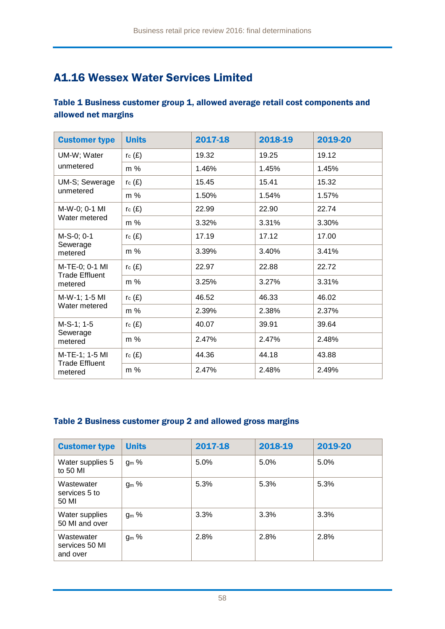### A1.16 Wessex Water Services Limited

### Table 1 Business customer group 1, allowed average retail cost components and allowed net margins

| <b>Customer type</b>                               | <b>Units</b> | 2017-18 | 2018-19 | 2019-20 |
|----------------------------------------------------|--------------|---------|---------|---------|
| UM-W; Water<br>unmetered                           | rc(E)        | 19.32   | 19.25   | 19.12   |
|                                                    | m %          | 1.46%   | 1.45%   | 1.45%   |
| UM-S; Sewerage<br>unmetered                        | $r_c(E)$     | 15.45   | 15.41   | 15.32   |
|                                                    | m %          | 1.50%   | 1.54%   | 1.57%   |
| M-W-0; 0-1 MI<br>Water metered                     | rc(E)        | 22.99   | 22.90   | 22.74   |
|                                                    | m %          | 3.32%   | 3.31%   | 3.30%   |
| M-S-0; 0-1<br>Sewerage<br>metered                  | rc(E)        | 17.19   | 17.12   | 17.00   |
|                                                    | m %          | 3.39%   | 3.40%   | 3.41%   |
| M-TE-0; 0-1 MI<br><b>Trade Effluent</b><br>metered | rc(E)        | 22.97   | 22.88   | 22.72   |
|                                                    | m %          | 3.25%   | 3.27%   | 3.31%   |
| M-W-1; 1-5 MI<br>Water metered                     | rc(E)        | 46.52   | 46.33   | 46.02   |
|                                                    | m %          | 2.39%   | 2.38%   | 2.37%   |
| M-S-1; 1-5<br>Sewerage<br>metered                  | rc(E)        | 40.07   | 39.91   | 39.64   |
|                                                    | m %          | 2.47%   | 2.47%   | 2.48%   |
| M-TE-1; 1-5 MI<br><b>Trade Effluent</b><br>metered | $r_c(E)$     | 44.36   | 44.18   | 43.88   |
|                                                    | m %          | 2.47%   | 2.48%   | 2.49%   |

| <b>Customer type</b>                     | <b>Units</b> | 2017-18 | 2018-19 | 2019-20 |
|------------------------------------------|--------------|---------|---------|---------|
| Water supplies 5<br>to 50 MI             | $g_m$ %      | 5.0%    | 5.0%    | 5.0%    |
| Wastewater<br>services 5 to<br>50 MI     | $g_m$ %      | 5.3%    | 5.3%    | 5.3%    |
| Water supplies<br>50 MI and over         | $g_m$ %      | 3.3%    | 3.3%    | 3.3%    |
| Wastewater<br>services 50 MI<br>and over | $g_m$ %      | 2.8%    | 2.8%    | 2.8%    |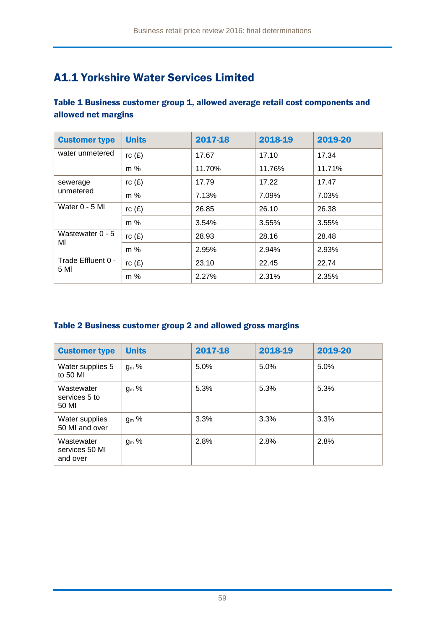### A1.1 Yorkshire Water Services Limited

### Table 1 Business customer group 1, allowed average retail cost components and allowed net margins

| <b>Customer type</b>       | <b>Units</b> | 2017-18 | 2018-19 | 2019-20 |
|----------------------------|--------------|---------|---------|---------|
| water unmetered            | rc(E)        | 17.67   | 17.10   | 17.34   |
|                            | m %          | 11.70%  | 11.76%  | 11.71%  |
| sewerage<br>unmetered      | rc(E)        | 17.79   | 17.22   | 17.47   |
|                            | m %          | 7.13%   | 7.09%   | 7.03%   |
| Water $0 - 5$ MI           | rc(E)        | 26.85   | 26.10   | 26.38   |
|                            | m %          | 3.54%   | 3.55%   | 3.55%   |
| Wastewater $0 - 5$<br>MI   | rc(E)        | 28.93   | 28.16   | 28.48   |
|                            | $m\%$        | 2.95%   | 2.94%   | 2.93%   |
| Trade Effluent 0 -<br>5 MI | rc(E)        | 23.10   | 22.45   | 22.74   |
|                            | m %          | 2.27%   | 2.31%   | 2.35%   |

| <b>Customer type</b>                     | <b>Units</b>     | 2017-18 | 2018-19 | 2019-20 |
|------------------------------------------|------------------|---------|---------|---------|
| Water supplies 5<br>to 50 MI             | ց <sub>ա</sub> % | 5.0%    | 5.0%    | 5.0%    |
| Wastewater<br>services 5 to<br>50 MI     | $g_m$ %          | 5.3%    | 5.3%    | 5.3%    |
| Water supplies<br>50 MI and over         | g <sub>m</sub> % | 3.3%    | 3.3%    | 3.3%    |
| Wastewater<br>services 50 MI<br>and over | $g_m$ %          | 2.8%    | 2.8%    | 2.8%    |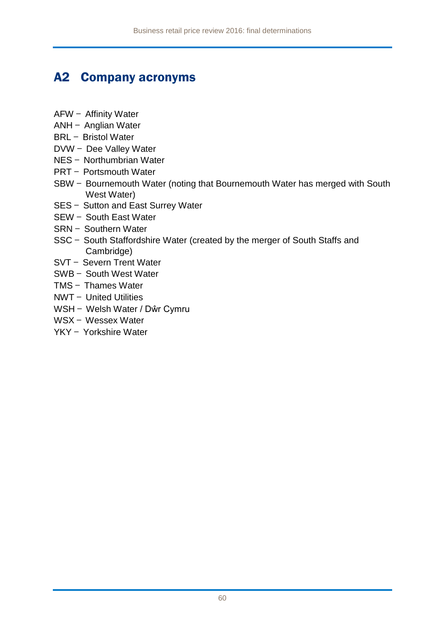## A2 Company acronyms

- AFW Affinity Water
- ANH Anglian Water
- BRL Bristol Water
- DVW Dee Valley Water
- NES Northumbrian Water
- PRT Portsmouth Water
- SBW Bournemouth Water (noting that Bournemouth Water has merged with South West Water)
- SES Sutton and East Surrey Water
- SEW South East Water
- SRN Southern Water
- SSC South Staffordshire Water (created by the merger of South Staffs and Cambridge)
- SVT Severn Trent Water
- SWB South West Water
- TMS Thames Water
- NWT United Utilities
- WSH Welsh Water / Dŵr Cymru
- WSX Wessex Water
- YKY Yorkshire Water